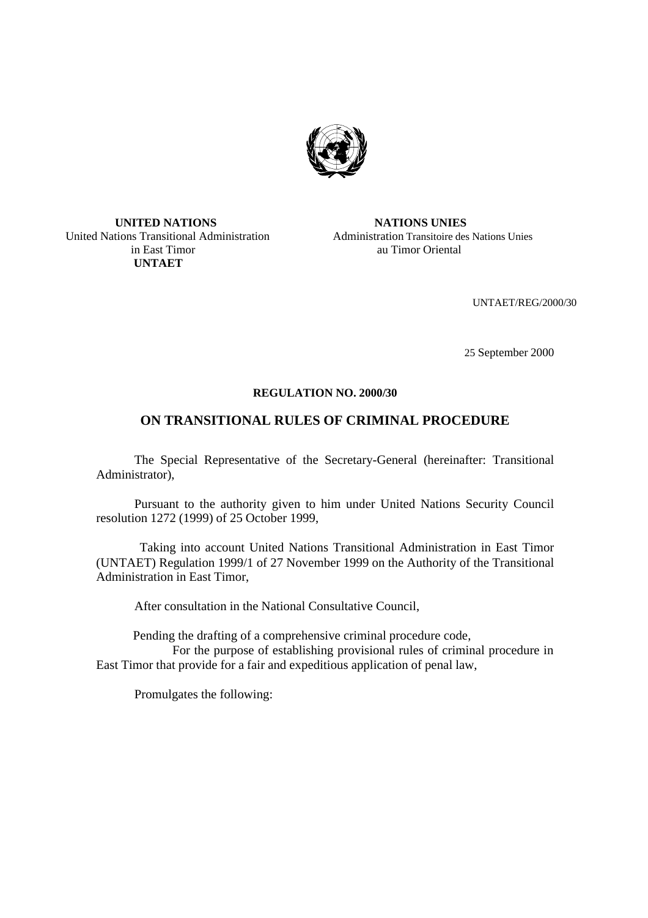

#### **UNITED NATIONS NATIONS UNIES** United Nations Transitional Administration Administration Transitoire des Nations Unies in East Timor au Timor Oriental  **UNTAET**

UNTAET/REG/2000/30

25 September 2000

#### **REGULATION NO. 2000/30**

## **ON TRANSITIONAL RULES OF CRIMINAL PROCEDURE**

The Special Representative of the Secretary-General (hereinafter: Transitional Administrator),

Pursuant to the authority given to him under United Nations Security Council resolution 1272 (1999) of 25 October 1999,

Taking into account United Nations Transitional Administration in East Timor (UNTAET) Regulation 1999/1 of 27 November 1999 on the Authority of the Transitional Administration in East Timor,

After consultation in the National Consultative Council,

Pending the drafting of a comprehensive criminal procedure code,

 For the purpose of establishing provisional rules of criminal procedure in East Timor that provide for a fair and expeditious application of penal law,

Promulgates the following: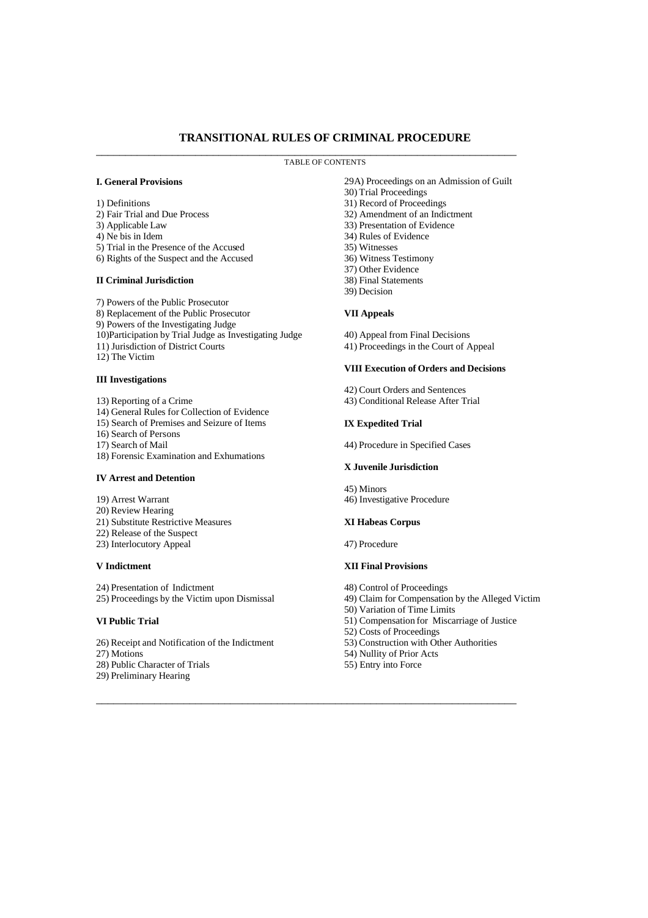### **TRANSITIONAL RULES OF CRIMINAL PROCEDURE**

#### TABLE OF CONTENTS

\_\_\_\_\_\_\_\_\_\_\_\_\_\_\_\_\_\_\_\_\_\_\_\_\_\_\_\_\_\_\_\_\_\_\_\_\_\_\_\_\_\_\_\_\_\_\_\_\_\_\_\_\_\_\_\_\_\_\_\_\_\_\_\_\_\_\_\_\_\_\_\_

#### **I. General Provisions**

- 1) Definitions
- 2) Fair Trial and Due Process
- 3) Applicable Law
- 4) Ne bis in Idem
- 5) Trial in the Presence of the Accused
- 6) Rights of the Suspect and the Accused

#### **II Criminal Jurisdiction**

7) Powers of the Public Prosecutor 8) Replacement of the Public Prosecutor 9) Powers of the Investigating Judge 10)Participation by Trial Judge as Investigating Judge 11) Jurisdiction of District Courts 12) The Victim

#### **III Investigations**

- 13) Reporting of a Crime
- 14) General Rules for Collection of Evidence
- 15) Search of Premises and Seizure of Items
- 16) Search of Persons
- 17) Search of Mail
- 18) Forensic Examination and Exhumations

#### **IV Arrest and Detention**

19) Arrest Warrant 20) Review Hearing 21) Substitute Restrictive Measures 22) Release of the Suspect 23) Interlocutory Appeal

#### **V Indictment**

24) Presentation of Indictment 25) Proceedings by the Victim upon Dismissal

#### **VI Public Trial**

26) Receipt and Notification of the Indictment 27) Motions 28) Public Character of Trials 29) Preliminary Hearing

- 29A) Proceedings on an Admission of Guilt 30) Trial Proceedings 31) Record of Proceedings 32) Amendment of an Indictment 33) Presentation of Evidence 34) Rules of Evidence 35) Witnesses 36) Witness Testimony 37) Other Evidence 38) Final Statements
- 39) Decision
- **VII Appeals**

# 40) Appeal from Final Decisions

- 
- 41) Proceedings in the Court of Appeal

#### **VIII Execution of Orders and Decisions**

42) Court Orders and Sentences 43) Conditional Release After Trial

#### **IX Expedited Trial**

44) Procedure in Specified Cases

#### **X Juvenile Jurisdiction**

45) Minors 46) Investigative Procedure

#### **XI Habeas Corpus**

47) Procedure

#### **XII Final Provisions**

- 48) Control of Proceedings
- 49) Claim for Compensation by the Alleged Victim
- 50) Variation of Time Limits
- 51) Compensation for Miscarriage of Justice
- 52) Costs of Proceedings
- 53) Construction with Other Authorities
- 54) Nullity of Prior Acts
- 55) Entry into Force

 $\_$  , and the set of the set of the set of the set of the set of the set of the set of the set of the set of the set of the set of the set of the set of the set of the set of the set of the set of the set of the set of th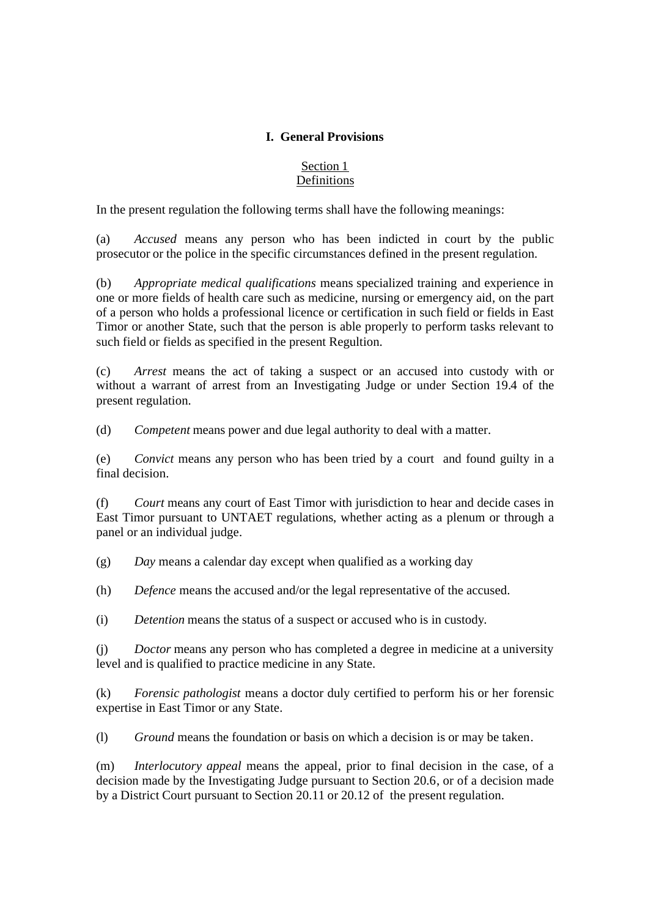## **I. General Provisions**

### Section 1 Definitions

In the present regulation the following terms shall have the following meanings:

(a) *Accused* means any person who has been indicted in court by the public prosecutor or the police in the specific circumstances defined in the present regulation.

(b) *Appropriate medical qualifications* means specialized training and experience in one or more fields of health care such as medicine, nursing or emergency aid, on the part of a person who holds a professional licence or certification in such field or fields in East Timor or another State, such that the person is able properly to perform tasks relevant to such field or fields as specified in the present Regultion.

(c) *Arrest* means the act of taking a suspect or an accused into custody with or without a warrant of arrest from an Investigating Judge or under Section 19.4 of the present regulation.

(d) *Competent* means power and due legal authority to deal with a matter.

(e) *Convict* means any person who has been tried by a court and found guilty in a final decision.

(f) *Court* means any court of East Timor with jurisdiction to hear and decide cases in East Timor pursuant to UNTAET regulations, whether acting as a plenum or through a panel or an individual judge.

(g) *Day* means a calendar day except when qualified as a working day

(h) *Defence* means the accused and/or the legal representative of the accused.

(i) *Detention* means the status of a suspect or accused who is in custody.

(j) *Doctor* means any person who has completed a degree in medicine at a university level and is qualified to practice medicine in any State.

(k) *Forensic pathologist* means a doctor duly certified to perform his or her forensic expertise in East Timor or any State.

(l) *Ground* means the foundation or basis on which a decision is or may be taken.

(m) *Interlocutory appeal* means the appeal, prior to final decision in the case, of a decision made by the Investigating Judge pursuant to Section 20.6, or of a decision made by a District Court pursuant to Section 20.11 or 20.12 of the present regulation.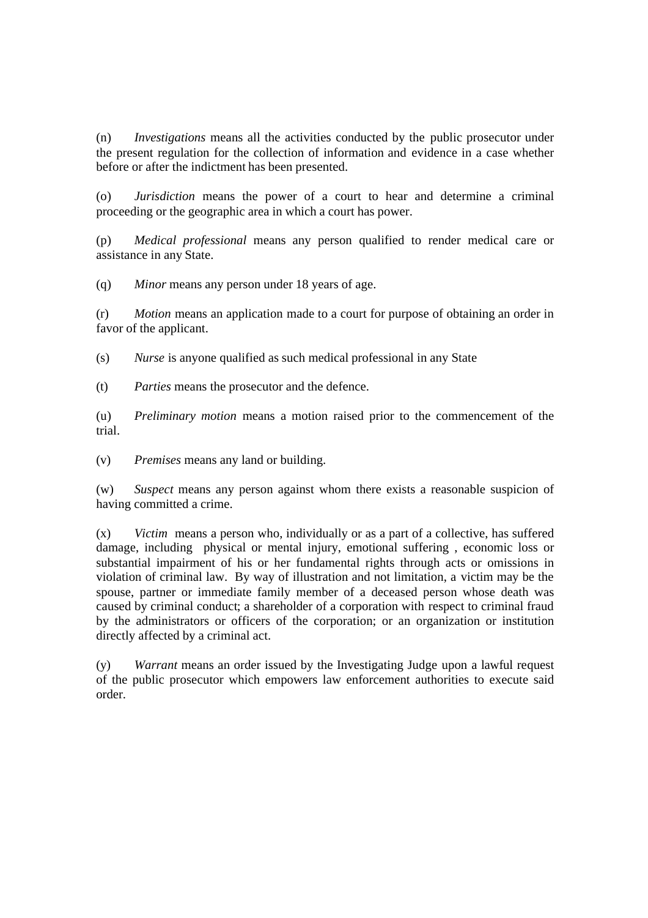(n) *Investigations* means all the activities conducted by the public prosecutor under the present regulation for the collection of information and evidence in a case whether before or after the indictment has been presented.

(o) *Jurisdiction* means the power of a court to hear and determine a criminal proceeding or the geographic area in which a court has power.

(p) *Medical professional* means any person qualified to render medical care or assistance in any State.

(q) *Minor* means any person under 18 years of age.

(r) *Motion* means an application made to a court for purpose of obtaining an order in favor of the applicant.

(s) *Nurse* is anyone qualified as such medical professional in any State

(t) *Parties* means the prosecutor and the defence.

(u) *Preliminary motion* means a motion raised prior to the commencement of the trial.

(v) *Premises* means any land or building.

(w) *Suspect* means any person against whom there exists a reasonable suspicion of having committed a crime.

(x) *Victim* means a person who, individually or as a part of a collective, has suffered damage, including physical or mental injury, emotional suffering , economic loss or substantial impairment of his or her fundamental rights through acts or omissions in violation of criminal law. By way of illustration and not limitation, a victim may be the spouse, partner or immediate family member of a deceased person whose death was caused by criminal conduct; a shareholder of a corporation with respect to criminal fraud by the administrators or officers of the corporation; or an organization or institution directly affected by a criminal act.

(y) *Warrant* means an order issued by the Investigating Judge upon a lawful request of the public prosecutor which empowers law enforcement authorities to execute said order.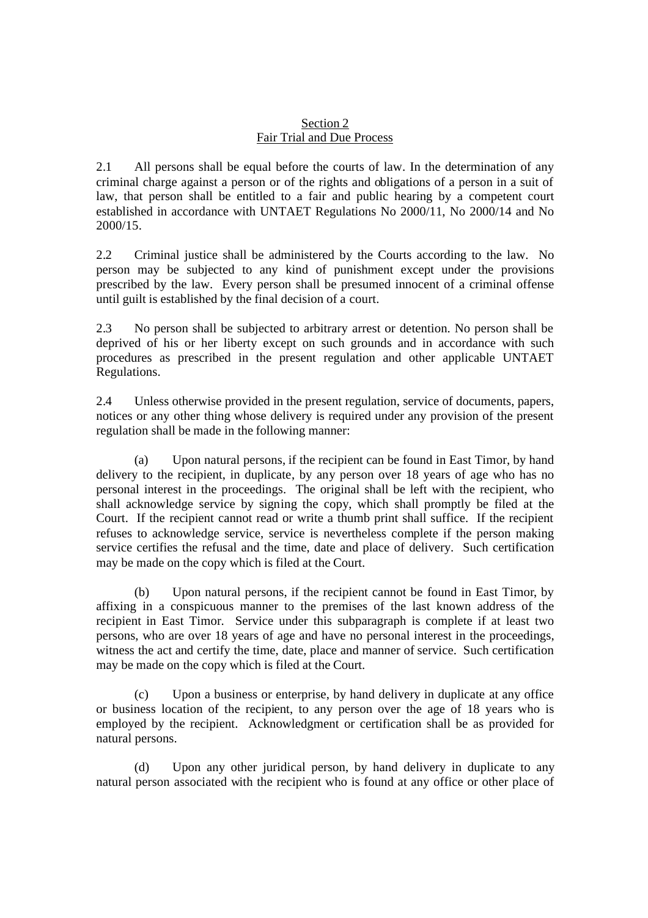#### Section 2 Fair Trial and Due Process

2.1 All persons shall be equal before the courts of law. In the determination of any criminal charge against a person or of the rights and obligations of a person in a suit of law, that person shall be entitled to a fair and public hearing by a competent court established in accordance with UNTAET Regulations No 2000/11, No 2000/14 and No 2000/15.

2.2 Criminal justice shall be administered by the Courts according to the law. No person may be subjected to any kind of punishment except under the provisions prescribed by the law. Every person shall be presumed innocent of a criminal offense until guilt is established by the final decision of a court.

2.3 No person shall be subjected to arbitrary arrest or detention. No person shall be deprived of his or her liberty except on such grounds and in accordance with such procedures as prescribed in the present regulation and other applicable UNTAET Regulations.

2.4 Unless otherwise provided in the present regulation, service of documents, papers, notices or any other thing whose delivery is required under any provision of the present regulation shall be made in the following manner:

(a) Upon natural persons, if the recipient can be found in East Timor, by hand delivery to the recipient, in duplicate, by any person over 18 years of age who has no personal interest in the proceedings. The original shall be left with the recipient, who shall acknowledge service by signing the copy, which shall promptly be filed at the Court. If the recipient cannot read or write a thumb print shall suffice. If the recipient refuses to acknowledge service, service is nevertheless complete if the person making service certifies the refusal and the time, date and place of delivery. Such certification may be made on the copy which is filed at the Court.

(b) Upon natural persons, if the recipient cannot be found in East Timor, by affixing in a conspicuous manner to the premises of the last known address of the recipient in East Timor. Service under this subparagraph is complete if at least two persons, who are over 18 years of age and have no personal interest in the proceedings, witness the act and certify the time, date, place and manner of service. Such certification may be made on the copy which is filed at the Court.

(c) Upon a business or enterprise, by hand delivery in duplicate at any office or business location of the recipient, to any person over the age of 18 years who is employed by the recipient. Acknowledgment or certification shall be as provided for natural persons.

(d) Upon any other juridical person, by hand delivery in duplicate to any natural person associated with the recipient who is found at any office or other place of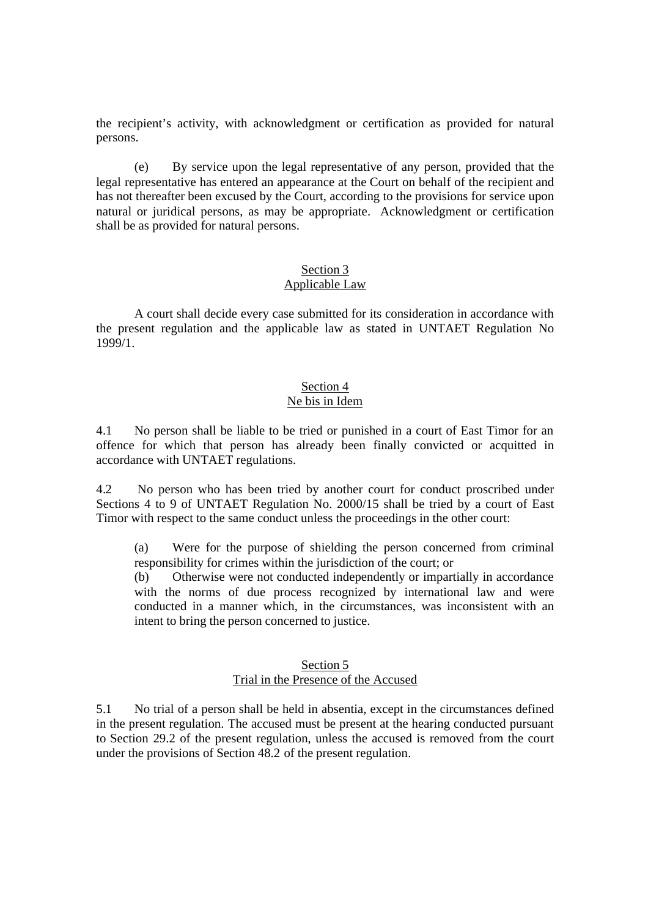the recipient's activity, with acknowledgment or certification as provided for natural persons.

(e) By service upon the legal representative of any person, provided that the legal representative has entered an appearance at the Court on behalf of the recipient and has not thereafter been excused by the Court, according to the provisions for service upon natural or juridical persons, as may be appropriate. Acknowledgment or certification shall be as provided for natural persons.

#### Section 3 Applicable Law

A court shall decide every case submitted for its consideration in accordance with the present regulation and the applicable law as stated in UNTAET Regulation No 1999/1.

# Section 4

# Ne bis in Idem

4.1 No person shall be liable to be tried or punished in a court of East Timor for an offence for which that person has already been finally convicted or acquitted in accordance with UNTAET regulations.

4.2 No person who has been tried by another court for conduct proscribed under Sections 4 to 9 of UNTAET Regulation No. 2000/15 shall be tried by a court of East Timor with respect to the same conduct unless the proceedings in the other court:

(a) Were for the purpose of shielding the person concerned from criminal responsibility for crimes within the jurisdiction of the court; or

(b) Otherwise were not conducted independently or impartially in accordance with the norms of due process recognized by international law and were conducted in a manner which, in the circumstances, was inconsistent with an intent to bring the person concerned to justice.

#### Section 5 Trial in the Presence of the Accused

5.1 No trial of a person shall be held in absentia, except in the circumstances defined in the present regulation. The accused must be present at the hearing conducted pursuant to Section 29.2 of the present regulation, unless the accused is removed from the court under the provisions of Section 48.2 of the present regulation.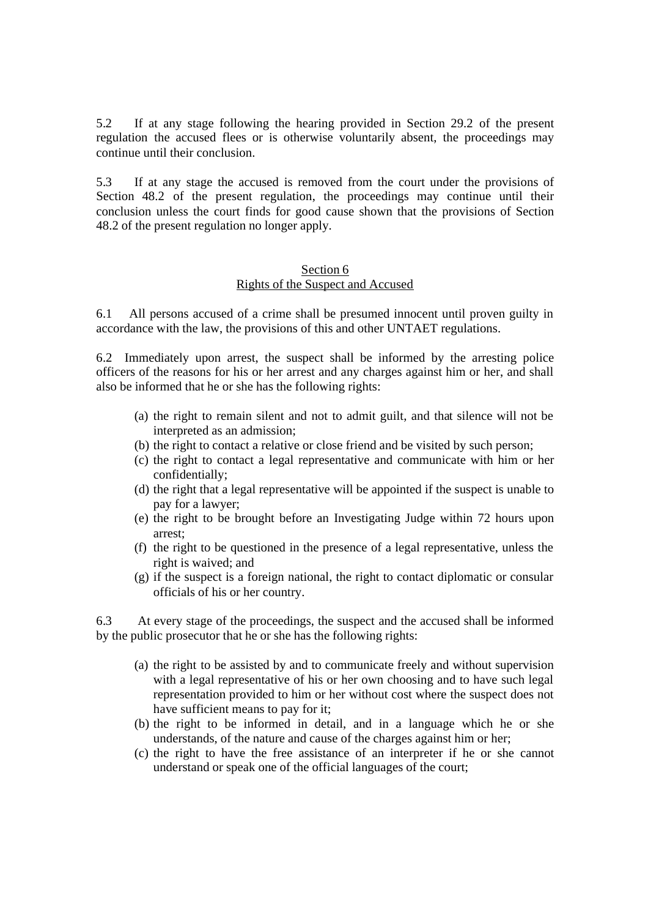5.2 If at any stage following the hearing provided in Section 29.2 of the present regulation the accused flees or is otherwise voluntarily absent, the proceedings may continue until their conclusion.

5.3 If at any stage the accused is removed from the court under the provisions of Section 48.2 of the present regulation, the proceedings may continue until their conclusion unless the court finds for good cause shown that the provisions of Section 48.2 of the present regulation no longer apply.

#### Section 6

#### Rights of the Suspect and Accused

6.1 All persons accused of a crime shall be presumed innocent until proven guilty in accordance with the law, the provisions of this and other UNTAET regulations.

6.2 Immediately upon arrest, the suspect shall be informed by the arresting police officers of the reasons for his or her arrest and any charges against him or her, and shall also be informed that he or she has the following rights:

- (a) the right to remain silent and not to admit guilt, and that silence will not be interpreted as an admission;
- (b) the right to contact a relative or close friend and be visited by such person;
- (c) the right to contact a legal representative and communicate with him or her confidentially;
- (d) the right that a legal representative will be appointed if the suspect is unable to pay for a lawyer;
- (e) the right to be brought before an Investigating Judge within 72 hours upon arrest;
- (f) the right to be questioned in the presence of a legal representative, unless the right is waived; and
- (g) if the suspect is a foreign national, the right to contact diplomatic or consular officials of his or her country.

6.3 At every stage of the proceedings, the suspect and the accused shall be informed by the public prosecutor that he or she has the following rights:

- (a) the right to be assisted by and to communicate freely and without supervision with a legal representative of his or her own choosing and to have such legal representation provided to him or her without cost where the suspect does not have sufficient means to pay for it;
- (b) the right to be informed in detail, and in a language which he or she understands, of the nature and cause of the charges against him or her;
- (c) the right to have the free assistance of an interpreter if he or she cannot understand or speak one of the official languages of the court;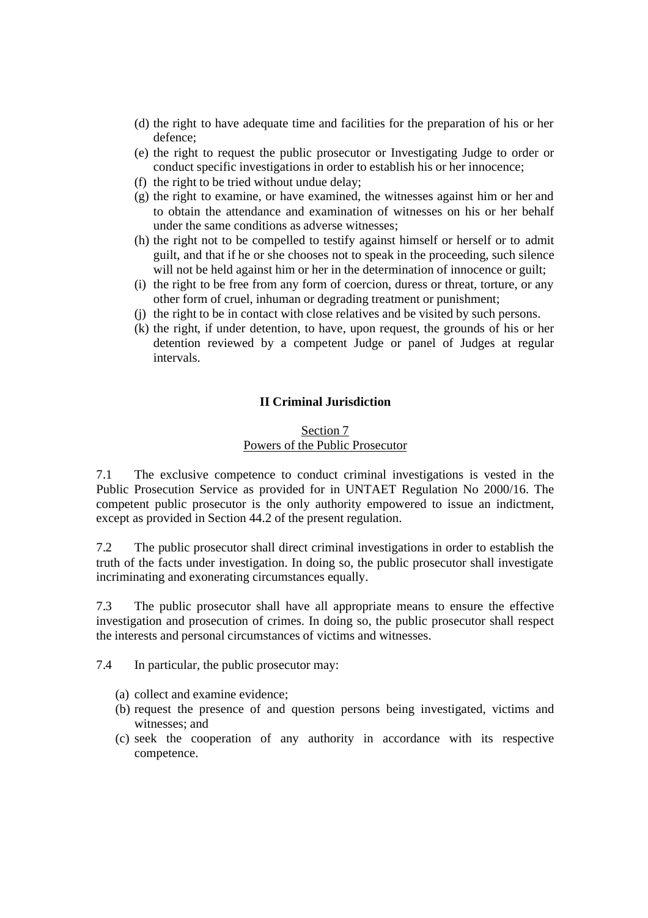- (d) the right to have adequate time and facilities for the preparation of his or her defence;
- (e) the right to request the public prosecutor or Investigating Judge to order or conduct specific investigations in order to establish his or her innocence;
- (f) the right to be tried without undue delay;
- (g) the right to examine, or have examined, the witnesses against him or her and to obtain the attendance and examination of witnesses on his or her behalf under the same conditions as adverse witnesses;
- (h) the right not to be compelled to testify against himself or herself or to admit guilt, and that if he or she chooses not to speak in the proceeding, such silence will not be held against him or her in the determination of innocence or guilt;
- (i) the right to be free from any form of coercion, duress or threat, torture, or any other form of cruel, inhuman or degrading treatment or punishment;
- (j) the right to be in contact with close relatives and be visited by such persons.
- (k) the right, if under detention, to have, upon request, the grounds of his or her detention reviewed by a competent Judge or panel of Judges at regular intervals.

### **II Criminal Jurisdiction**

#### Section 7 Powers of the Public Prosecutor

7.1 The exclusive competence to conduct criminal investigations is vested in the Public Prosecution Service as provided for in UNTAET Regulation No 2000/16. The competent public prosecutor is the only authority empowered to issue an indictment, except as provided in Section 44.2 of the present regulation.

7.2 The public prosecutor shall direct criminal investigations in order to establish the truth of the facts under investigation. In doing so, the public prosecutor shall investigate incriminating and exonerating circumstances equally.

7.3 The public prosecutor shall have all appropriate means to ensure the effective investigation and prosecution of crimes. In doing so, the public prosecutor shall respect the interests and personal circumstances of victims and witnesses.

7.4 In particular, the public prosecutor may:

(a) collect and examine evidence;

- (b) request the presence of and question persons being investigated, victims and witnesses; and
- (c) seek the cooperation of any authority in accordance with its respective competence.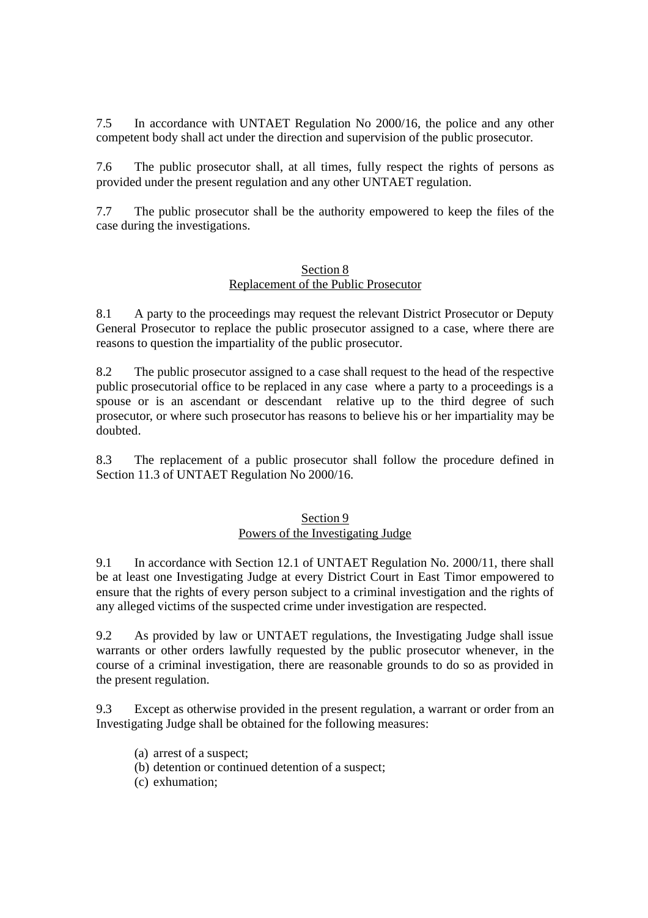7.5 In accordance with UNTAET Regulation No 2000/16, the police and any other competent body shall act under the direction and supervision of the public prosecutor.

7.6 The public prosecutor shall, at all times, fully respect the rights of persons as provided under the present regulation and any other UNTAET regulation.

7.7 The public prosecutor shall be the authority empowered to keep the files of the case during the investigations.

#### Section 8 Replacement of the Public Prosecutor

8.1 A party to the proceedings may request the relevant District Prosecutor or Deputy General Prosecutor to replace the public prosecutor assigned to a case, where there are reasons to question the impartiality of the public prosecutor.

8.2 The public prosecutor assigned to a case shall request to the head of the respective public prosecutorial office to be replaced in any case where a party to a proceedings is a spouse or is an ascendant or descendant relative up to the third degree of such prosecutor, or where such prosecutor has reasons to believe his or her impartiality may be doubted.

8.3 The replacement of a public prosecutor shall follow the procedure defined in Section 11.3 of UNTAET Regulation No 2000/16.

# Section 9 Powers of the Investigating Judge

9.1 In accordance with Section 12.1 of UNTAET Regulation No. 2000/11, there shall be at least one Investigating Judge at every District Court in East Timor empowered to ensure that the rights of every person subject to a criminal investigation and the rights of any alleged victims of the suspected crime under investigation are respected.

9.2 As provided by law or UNTAET regulations, the Investigating Judge shall issue warrants or other orders lawfully requested by the public prosecutor whenever, in the course of a criminal investigation, there are reasonable grounds to do so as provided in the present regulation.

9.3 Except as otherwise provided in the present regulation, a warrant or order from an Investigating Judge shall be obtained for the following measures:

- (a) arrest of a suspect;
- (b) detention or continued detention of a suspect;
- (c) exhumation;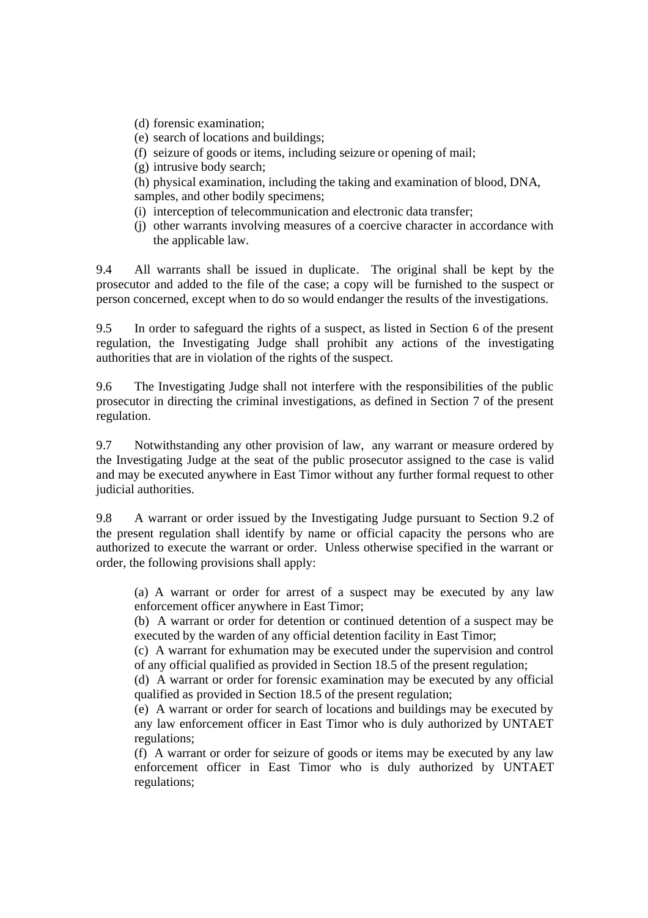(d) forensic examination;

- (e) search of locations and buildings;
- (f) seizure of goods or items, including seizure or opening of mail;
- (g) intrusive body search;

(h) physical examination, including the taking and examination of blood, DNA, samples, and other bodily specimens;

- (i) interception of telecommunication and electronic data transfer;
- (j) other warrants involving measures of a coercive character in accordance with the applicable law.

9.4 All warrants shall be issued in duplicate. The original shall be kept by the prosecutor and added to the file of the case; a copy will be furnished to the suspect or person concerned, except when to do so would endanger the results of the investigations.

9.5 In order to safeguard the rights of a suspect, as listed in Section 6 of the present regulation, the Investigating Judge shall prohibit any actions of the investigating authorities that are in violation of the rights of the suspect.

9.6 The Investigating Judge shall not interfere with the responsibilities of the public prosecutor in directing the criminal investigations, as defined in Section 7 of the present regulation.

9.7 Notwithstanding any other provision of law, any warrant or measure ordered by the Investigating Judge at the seat of the public prosecutor assigned to the case is valid and may be executed anywhere in East Timor without any further formal request to other judicial authorities.

9.8 A warrant or order issued by the Investigating Judge pursuant to Section 9.2 of the present regulation shall identify by name or official capacity the persons who are authorized to execute the warrant or order. Unless otherwise specified in the warrant or order, the following provisions shall apply:

(a) A warrant or order for arrest of a suspect may be executed by any law enforcement officer anywhere in East Timor;

(b) A warrant or order for detention or continued detention of a suspect may be executed by the warden of any official detention facility in East Timor;

(c) A warrant for exhumation may be executed under the supervision and control of any official qualified as provided in Section 18.5 of the present regulation;

(d) A warrant or order for forensic examination may be executed by any official qualified as provided in Section 18.5 of the present regulation;

(e) A warrant or order for search of locations and buildings may be executed by any law enforcement officer in East Timor who is duly authorized by UNTAET regulations;

(f) A warrant or order for seizure of goods or items may be executed by any law enforcement officer in East Timor who is duly authorized by UNTAET regulations;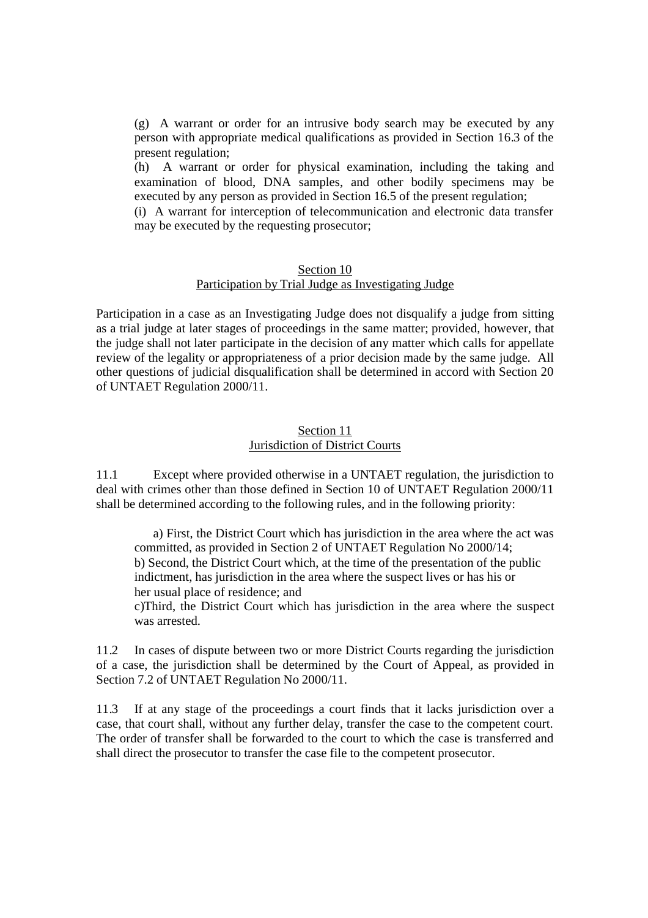(g) A warrant or order for an intrusive body search may be executed by any person with appropriate medical qualifications as provided in Section 16.3 of the present regulation;

(h) A warrant or order for physical examination, including the taking and examination of blood, DNA samples, and other bodily specimens may be executed by any person as provided in Section 16.5 of the present regulation;

(i) A warrant for interception of telecommunication and electronic data transfer may be executed by the requesting prosecutor;

#### Section 10

### Participation by Trial Judge as Investigating Judge

Participation in a case as an Investigating Judge does not disqualify a judge from sitting as a trial judge at later stages of proceedings in the same matter; provided, however, that the judge shall not later participate in the decision of any matter which calls for appellate review of the legality or appropriateness of a prior decision made by the same judge. All other questions of judicial disqualification shall be determined in accord with Section 20 of UNTAET Regulation 2000/11.

#### Section 11 Jurisdiction of District Courts

11.1 Except where provided otherwise in a UNTAET regulation, the jurisdiction to deal with crimes other than those defined in Section 10 of UNTAET Regulation 2000/11 shall be determined according to the following rules, and in the following priority:

 a) First, the District Court which has jurisdiction in the area where the act was committed, as provided in Section 2 of UNTAET Regulation No 2000/14; b) Second, the District Court which, at the time of the presentation of the public indictment, has jurisdiction in the area where the suspect lives or has his or her usual place of residence; and

c)Third, the District Court which has jurisdiction in the area where the suspect was arrested.

11.2 In cases of dispute between two or more District Courts regarding the jurisdiction of a case, the jurisdiction shall be determined by the Court of Appeal, as provided in Section 7.2 of UNTAET Regulation No 2000/11.

11.3 If at any stage of the proceedings a court finds that it lacks jurisdiction over a case, that court shall, without any further delay, transfer the case to the competent court. The order of transfer shall be forwarded to the court to which the case is transferred and shall direct the prosecutor to transfer the case file to the competent prosecutor.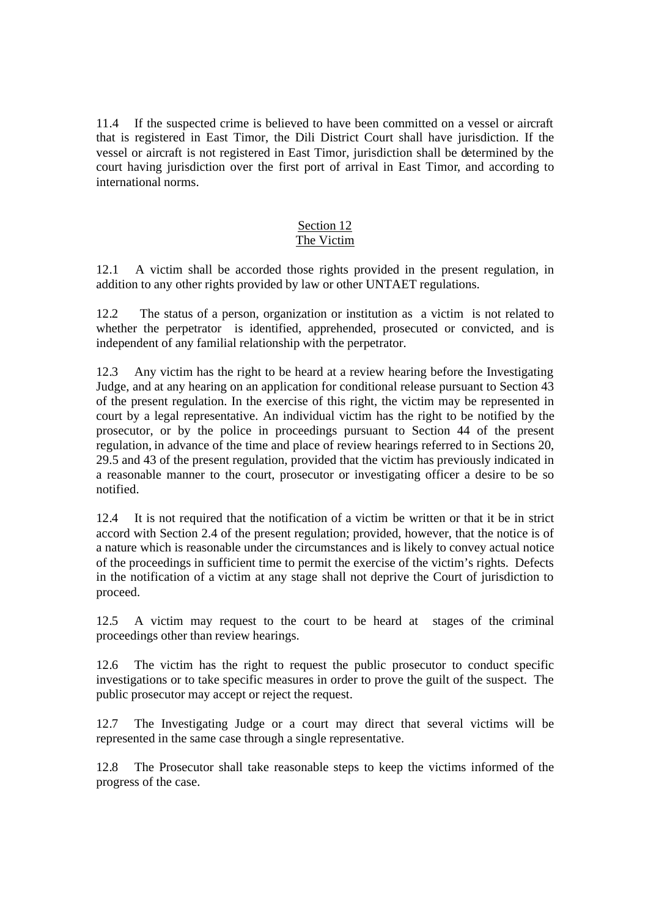11.4 If the suspected crime is believed to have been committed on a vessel or aircraft that is registered in East Timor, the Dili District Court shall have jurisdiction. If the vessel or aircraft is not registered in East Timor, jurisdiction shall be determined by the court having jurisdiction over the first port of arrival in East Timor, and according to international norms.

#### Section 12 The Victim

12.1 A victim shall be accorded those rights provided in the present regulation, in addition to any other rights provided by law or other UNTAET regulations.

12.2 The status of a person, organization or institution as a victim is not related to whether the perpetrator is identified, apprehended, prosecuted or convicted, and is independent of any familial relationship with the perpetrator.

12.3 Any victim has the right to be heard at a review hearing before the Investigating Judge, and at any hearing on an application for conditional release pursuant to Section 43 of the present regulation. In the exercise of this right, the victim may be represented in court by a legal representative. An individual victim has the right to be notified by the prosecutor, or by the police in proceedings pursuant to Section 44 of the present regulation, in advance of the time and place of review hearings referred to in Sections 20, 29.5 and 43 of the present regulation, provided that the victim has previously indicated in a reasonable manner to the court, prosecutor or investigating officer a desire to be so notified.

12.4 It is not required that the notification of a victim be written or that it be in strict accord with Section 2.4 of the present regulation; provided, however, that the notice is of a nature which is reasonable under the circumstances and is likely to convey actual notice of the proceedings in sufficient time to permit the exercise of the victim's rights. Defects in the notification of a victim at any stage shall not deprive the Court of jurisdiction to proceed.

12.5 A victim may request to the court to be heard at stages of the criminal proceedings other than review hearings.

12.6 The victim has the right to request the public prosecutor to conduct specific investigations or to take specific measures in order to prove the guilt of the suspect. The public prosecutor may accept or reject the request.

12.7 The Investigating Judge or a court may direct that several victims will be represented in the same case through a single representative.

12.8 The Prosecutor shall take reasonable steps to keep the victims informed of the progress of the case.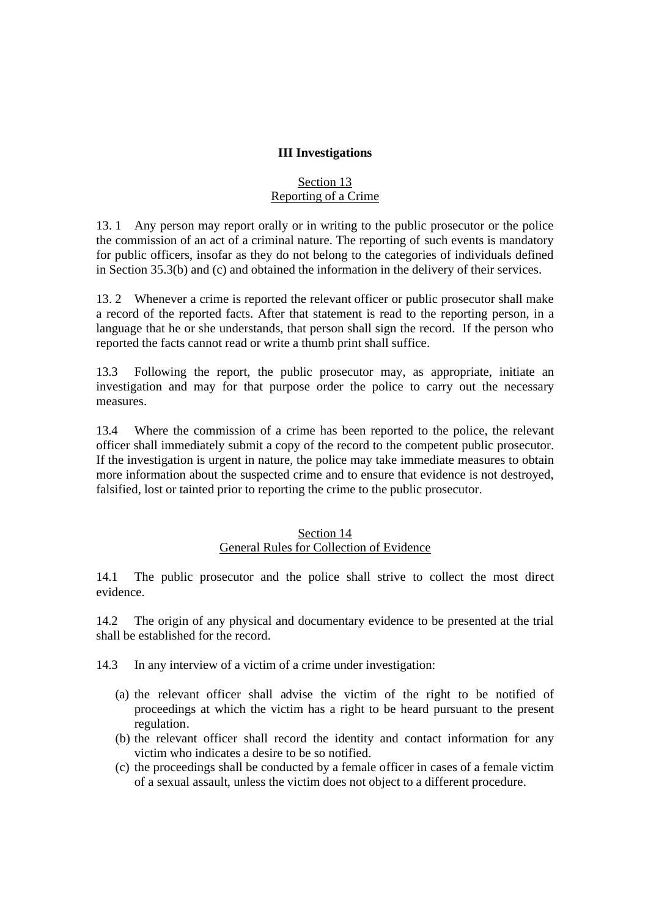#### **III Investigations**

### Section 13 Reporting of a Crime

13. 1 Any person may report orally or in writing to the public prosecutor or the police the commission of an act of a criminal nature. The reporting of such events is mandatory for public officers, insofar as they do not belong to the categories of individuals defined in Section 35.3(b) and (c) and obtained the information in the delivery of their services.

13. 2 Whenever a crime is reported the relevant officer or public prosecutor shall make a record of the reported facts. After that statement is read to the reporting person, in a language that he or she understands, that person shall sign the record. If the person who reported the facts cannot read or write a thumb print shall suffice.

13.3 Following the report, the public prosecutor may, as appropriate, initiate an investigation and may for that purpose order the police to carry out the necessary measures.

13.4 Where the commission of a crime has been reported to the police, the relevant officer shall immediately submit a copy of the record to the competent public prosecutor. If the investigation is urgent in nature, the police may take immediate measures to obtain more information about the suspected crime and to ensure that evidence is not destroyed, falsified, lost or tainted prior to reporting the crime to the public prosecutor.

#### Section 14 General Rules for Collection of Evidence

14.1 The public prosecutor and the police shall strive to collect the most direct evidence.

14.2 The origin of any physical and documentary evidence to be presented at the trial shall be established for the record.

14.3 In any interview of a victim of a crime under investigation:

- (a) the relevant officer shall advise the victim of the right to be notified of proceedings at which the victim has a right to be heard pursuant to the present regulation.
- (b) the relevant officer shall record the identity and contact information for any victim who indicates a desire to be so notified.
- (c) the proceedings shall be conducted by a female officer in cases of a female victim of a sexual assault, unless the victim does not object to a different procedure.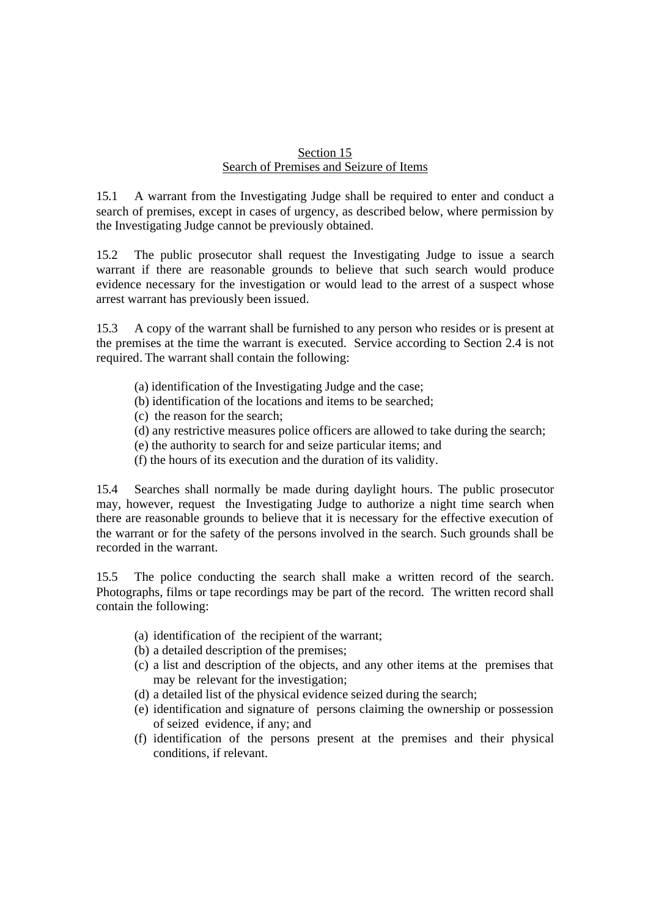#### Section 15 Search of Premises and Seizure of Items

15.1 A warrant from the Investigating Judge shall be required to enter and conduct a search of premises, except in cases of urgency, as described below, where permission by the Investigating Judge cannot be previously obtained.

15.2 The public prosecutor shall request the Investigating Judge to issue a search warrant if there are reasonable grounds to believe that such search would produce evidence necessary for the investigation or would lead to the arrest of a suspect whose arrest warrant has previously been issued.

15.3 A copy of the warrant shall be furnished to any person who resides or is present at the premises at the time the warrant is executed. Service according to Section 2.4 is not required. The warrant shall contain the following:

- (a) identification of the Investigating Judge and the case;
- (b) identification of the locations and items to be searched;
- (c) the reason for the search;
- (d) any restrictive measures police officers are allowed to take during the search;
- (e) the authority to search for and seize particular items; and
- (f) the hours of its execution and the duration of its validity.

15.4 Searches shall normally be made during daylight hours. The public prosecutor may, however, request the Investigating Judge to authorize a night time search when there are reasonable grounds to believe that it is necessary for the effective execution of the warrant or for the safety of the persons involved in the search. Such grounds shall be recorded in the warrant.

15.5 The police conducting the search shall make a written record of the search. Photographs, films or tape recordings may be part of the record. The written record shall contain the following:

- (a) identification of the recipient of the warrant;
- (b) a detailed description of the premises;
- (c) a list and description of the objects, and any other items at the premises that may be relevant for the investigation;
- (d) a detailed list of the physical evidence seized during the search;
- (e) identification and signature of persons claiming the ownership or possession of seized evidence, if any; and
- (f) identification of the persons present at the premises and their physical conditions, if relevant.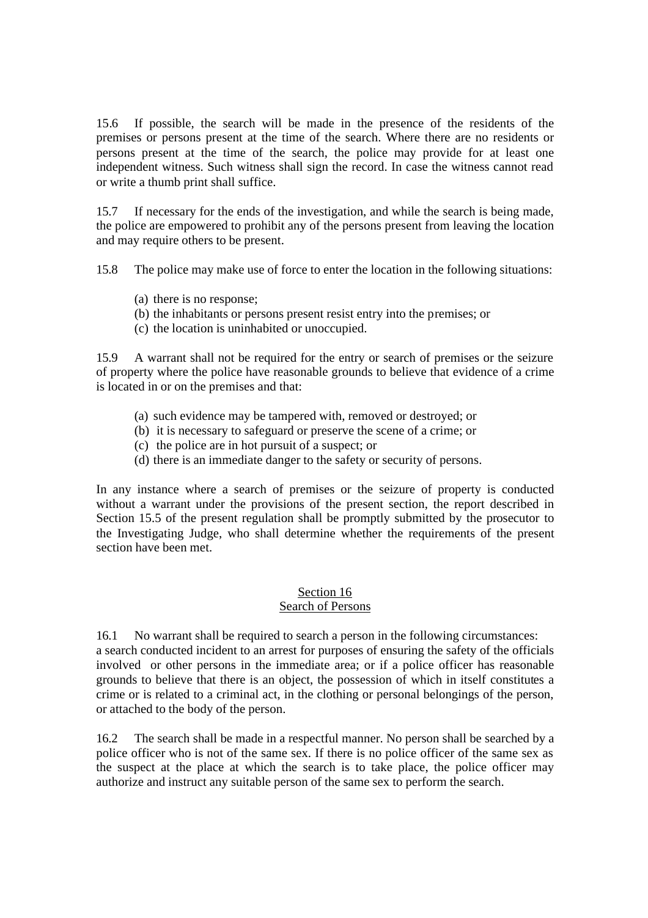15.6 If possible, the search will be made in the presence of the residents of the premises or persons present at the time of the search. Where there are no residents or persons present at the time of the search, the police may provide for at least one independent witness. Such witness shall sign the record. In case the witness cannot read or write a thumb print shall suffice.

15.7 If necessary for the ends of the investigation, and while the search is being made, the police are empowered to prohibit any of the persons present from leaving the location and may require others to be present.

15.8 The police may make use of force to enter the location in the following situations:

- (a) there is no response;
- (b) the inhabitants or persons present resist entry into the premises; or
- (c) the location is uninhabited or unoccupied.

15.9 A warrant shall not be required for the entry or search of premises or the seizure of property where the police have reasonable grounds to believe that evidence of a crime is located in or on the premises and that:

- (a) such evidence may be tampered with, removed or destroyed; or
- (b) it is necessary to safeguard or preserve the scene of a crime; or
- (c) the police are in hot pursuit of a suspect; or
- (d) there is an immediate danger to the safety or security of persons.

In any instance where a search of premises or the seizure of property is conducted without a warrant under the provisions of the present section, the report described in Section 15.5 of the present regulation shall be promptly submitted by the prosecutor to the Investigating Judge, who shall determine whether the requirements of the present section have been met.

#### Section 16 Search of Persons

16.1 No warrant shall be required to search a person in the following circumstances: a search conducted incident to an arrest for purposes of ensuring the safety of the officials involved or other persons in the immediate area; or if a police officer has reasonable grounds to believe that there is an object, the possession of which in itself constitutes a crime or is related to a criminal act, in the clothing or personal belongings of the person, or attached to the body of the person.

16.2 The search shall be made in a respectful manner. No person shall be searched by a police officer who is not of the same sex. If there is no police officer of the same sex as the suspect at the place at which the search is to take place, the police officer may authorize and instruct any suitable person of the same sex to perform the search.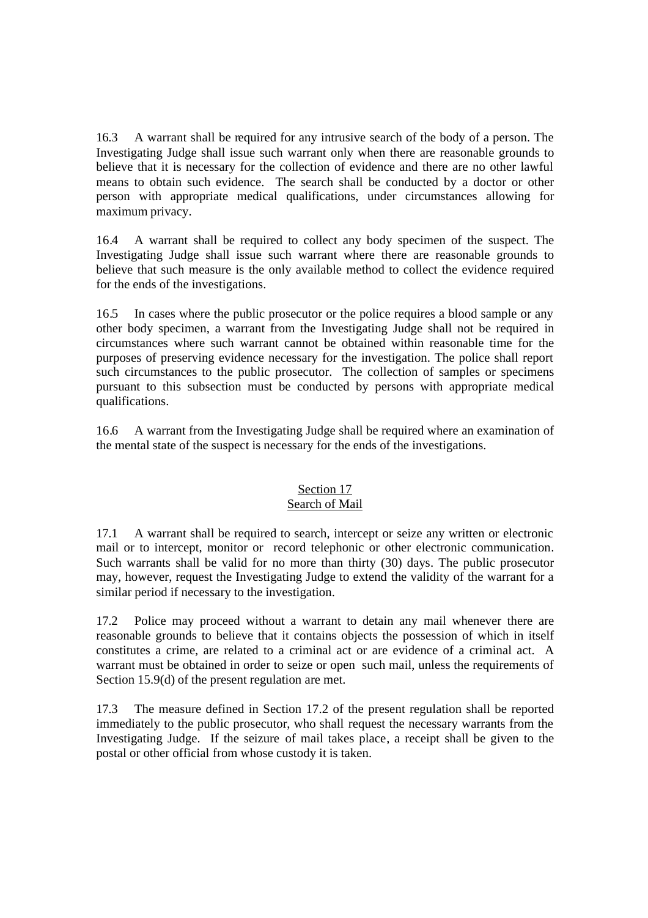16.3 A warrant shall be required for any intrusive search of the body of a person. The Investigating Judge shall issue such warrant only when there are reasonable grounds to believe that it is necessary for the collection of evidence and there are no other lawful means to obtain such evidence. The search shall be conducted by a doctor or other person with appropriate medical qualifications, under circumstances allowing for maximum privacy.

16.4 A warrant shall be required to collect any body specimen of the suspect. The Investigating Judge shall issue such warrant where there are reasonable grounds to believe that such measure is the only available method to collect the evidence required for the ends of the investigations.

16.5 In cases where the public prosecutor or the police requires a blood sample or any other body specimen, a warrant from the Investigating Judge shall not be required in circumstances where such warrant cannot be obtained within reasonable time for the purposes of preserving evidence necessary for the investigation. The police shall report such circumstances to the public prosecutor. The collection of samples or specimens pursuant to this subsection must be conducted by persons with appropriate medical qualifications.

16.6 A warrant from the Investigating Judge shall be required where an examination of the mental state of the suspect is necessary for the ends of the investigations.

# Section 17

### Search of Mail

17.1 A warrant shall be required to search, intercept or seize any written or electronic mail or to intercept, monitor or record telephonic or other electronic communication. Such warrants shall be valid for no more than thirty (30) days. The public prosecutor may, however, request the Investigating Judge to extend the validity of the warrant for a similar period if necessary to the investigation.

17.2 Police may proceed without a warrant to detain any mail whenever there are reasonable grounds to believe that it contains objects the possession of which in itself constitutes a crime, are related to a criminal act or are evidence of a criminal act. A warrant must be obtained in order to seize or open such mail, unless the requirements of Section 15.9(d) of the present regulation are met.

17.3 The measure defined in Section 17.2 of the present regulation shall be reported immediately to the public prosecutor, who shall request the necessary warrants from the Investigating Judge. If the seizure of mail takes place, a receipt shall be given to the postal or other official from whose custody it is taken.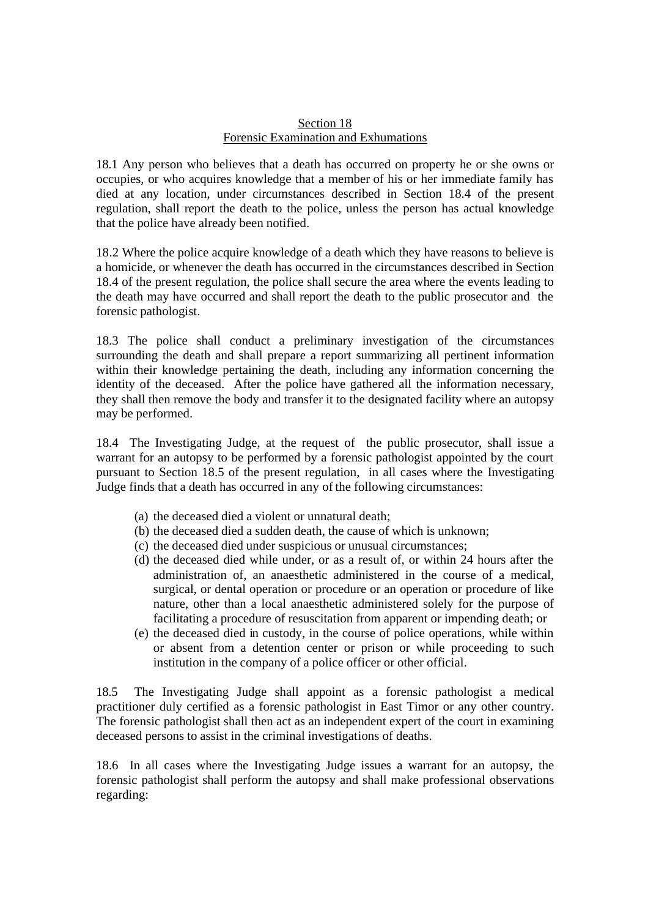#### Section 18 Forensic Examination and Exhumations

18.1 Any person who believes that a death has occurred on property he or she owns or occupies, or who acquires knowledge that a member of his or her immediate family has died at any location, under circumstances described in Section 18.4 of the present regulation, shall report the death to the police, unless the person has actual knowledge that the police have already been notified.

18.2 Where the police acquire knowledge of a death which they have reasons to believe is a homicide, or whenever the death has occurred in the circumstances described in Section 18.4 of the present regulation, the police shall secure the area where the events leading to the death may have occurred and shall report the death to the public prosecutor and the forensic pathologist.

18.3 The police shall conduct a preliminary investigation of the circumstances surrounding the death and shall prepare a report summarizing all pertinent information within their knowledge pertaining the death, including any information concerning the identity of the deceased. After the police have gathered all the information necessary, they shall then remove the body and transfer it to the designated facility where an autopsy may be performed.

18.4 The Investigating Judge, at the request of the public prosecutor, shall issue a warrant for an autopsy to be performed by a forensic pathologist appointed by the court pursuant to Section 18.5 of the present regulation, in all cases where the Investigating Judge finds that a death has occurred in any of the following circumstances:

- (a) the deceased died a violent or unnatural death;
- (b) the deceased died a sudden death, the cause of which is unknown;
- (c) the deceased died under suspicious or unusual circumstances;
- (d) the deceased died while under, or as a result of, or within 24 hours after the administration of, an anaesthetic administered in the course of a medical, surgical, or dental operation or procedure or an operation or procedure of like nature, other than a local anaesthetic administered solely for the purpose of facilitating a procedure of resuscitation from apparent or impending death; or
- (e) the deceased died in custody, in the course of police operations, while within or absent from a detention center or prison or while proceeding to such institution in the company of a police officer or other official.

18.5 The Investigating Judge shall appoint as a forensic pathologist a medical practitioner duly certified as a forensic pathologist in East Timor or any other country. The forensic pathologist shall then act as an independent expert of the court in examining deceased persons to assist in the criminal investigations of deaths.

18.6 In all cases where the Investigating Judge issues a warrant for an autopsy, the forensic pathologist shall perform the autopsy and shall make professional observations regarding: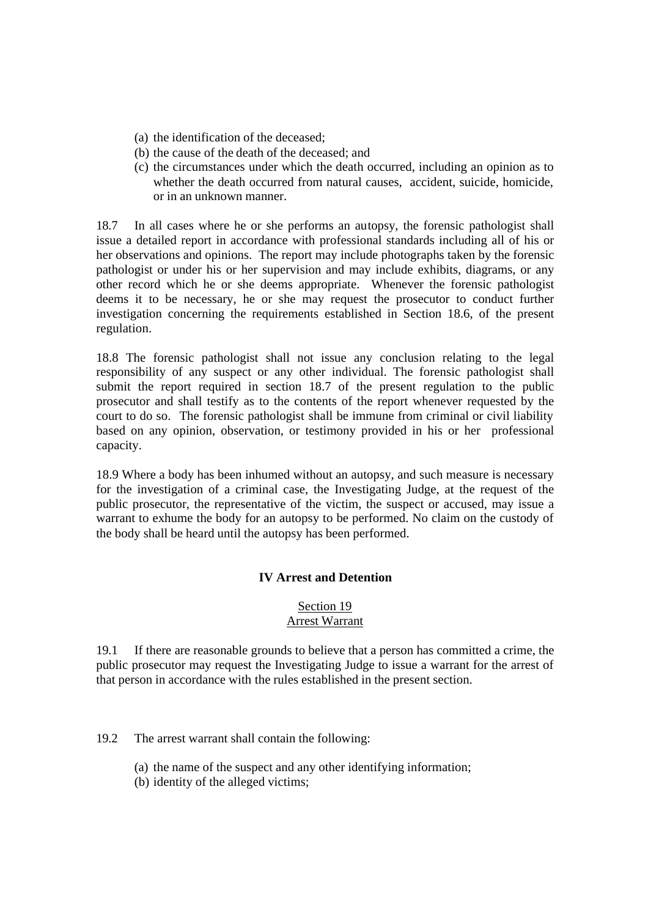- (a) the identification of the deceased;
- (b) the cause of the death of the deceased; and
- (c) the circumstances under which the death occurred, including an opinion as to whether the death occurred from natural causes, accident, suicide, homicide, or in an unknown manner.

18.7 In all cases where he or she performs an autopsy, the forensic pathologist shall issue a detailed report in accordance with professional standards including all of his or her observations and opinions. The report may include photographs taken by the forensic pathologist or under his or her supervision and may include exhibits, diagrams, or any other record which he or she deems appropriate. Whenever the forensic pathologist deems it to be necessary, he or she may request the prosecutor to conduct further investigation concerning the requirements established in Section 18.6, of the present regulation.

18.8 The forensic pathologist shall not issue any conclusion relating to the legal responsibility of any suspect or any other individual. The forensic pathologist shall submit the report required in section 18.7 of the present regulation to the public prosecutor and shall testify as to the contents of the report whenever requested by the court to do so. The forensic pathologist shall be immune from criminal or civil liability based on any opinion, observation, or testimony provided in his or her professional capacity.

18.9 Where a body has been inhumed without an autopsy, and such measure is necessary for the investigation of a criminal case, the Investigating Judge, at the request of the public prosecutor, the representative of the victim, the suspect or accused, may issue a warrant to exhume the body for an autopsy to be performed. No claim on the custody of the body shall be heard until the autopsy has been performed.

### **IV Arrest and Detention**

### Section 19 Arrest Warrant

19.1 If there are reasonable grounds to believe that a person has committed a crime, the public prosecutor may request the Investigating Judge to issue a warrant for the arrest of that person in accordance with the rules established in the present section.

19.2 The arrest warrant shall contain the following:

- (a) the name of the suspect and any other identifying information;
- (b) identity of the alleged victims;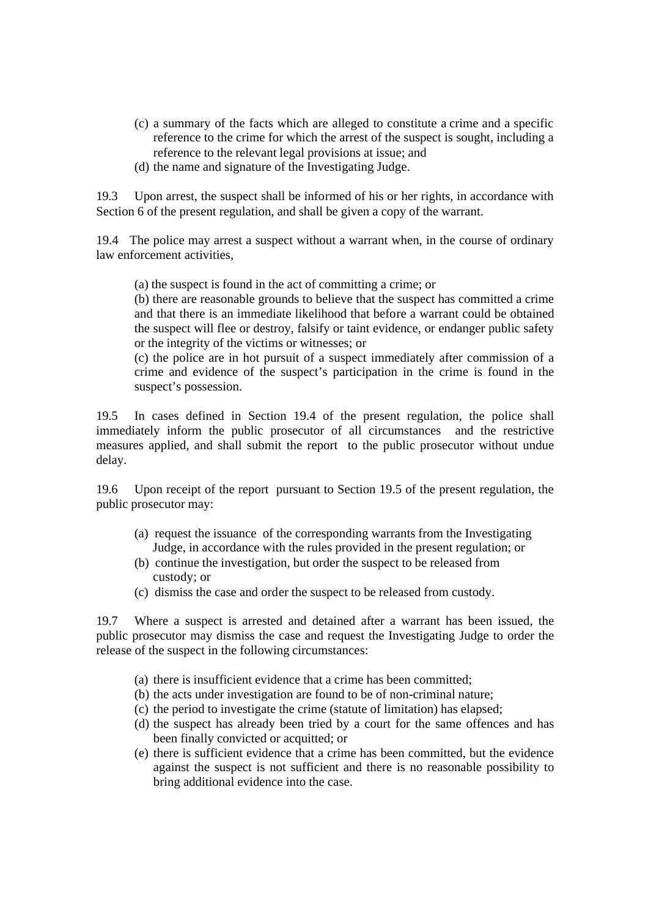- (c) a summary of the facts which are alleged to constitute a crime and a specific reference to the crime for which the arrest of the suspect is sought, including a reference to the relevant legal provisions at issue; and
- (d) the name and signature of the Investigating Judge.

19.3 Upon arrest, the suspect shall be informed of his or her rights, in accordance with Section 6 of the present regulation, and shall be given a copy of the warrant.

19.4 The police may arrest a suspect without a warrant when, in the course of ordinary law enforcement activities,

(a) the suspect is found in the act of committing a crime; or

(b) there are reasonable grounds to believe that the suspect has committed a crime and that there is an immediate likelihood that before a warrant could be obtained the suspect will flee or destroy, falsify or taint evidence, or endanger public safety or the integrity of the victims or witnesses; or

(c) the police are in hot pursuit of a suspect immediately after commission of a crime and evidence of the suspect's participation in the crime is found in the suspect's possession.

19.5 In cases defined in Section 19.4 of the present regulation, the police shall immediately inform the public prosecutor of all circumstances and the restrictive measures applied, and shall submit the report to the public prosecutor without undue delay.

19.6 Upon receipt of the report pursuant to Section 19.5 of the present regulation, the public prosecutor may:

- (a) request the issuance of the corresponding warrants from the Investigating Judge, in accordance with the rules provided in the present regulation; or
- (b) continue the investigation, but order the suspect to be released from custody; or
- (c) dismiss the case and order the suspect to be released from custody.

19.7 Where a suspect is arrested and detained after a warrant has been issued, the public prosecutor may dismiss the case and request the Investigating Judge to order the release of the suspect in the following circumstances:

- (a) there is insufficient evidence that a crime has been committed;
- (b) the acts under investigation are found to be of non-criminal nature;
- (c) the period to investigate the crime (statute of limitation) has elapsed;
- (d) the suspect has already been tried by a court for the same offences and has been finally convicted or acquitted; or
- (e) there is sufficient evidence that a crime has been committed, but the evidence against the suspect is not sufficient and there is no reasonable possibility to bring additional evidence into the case.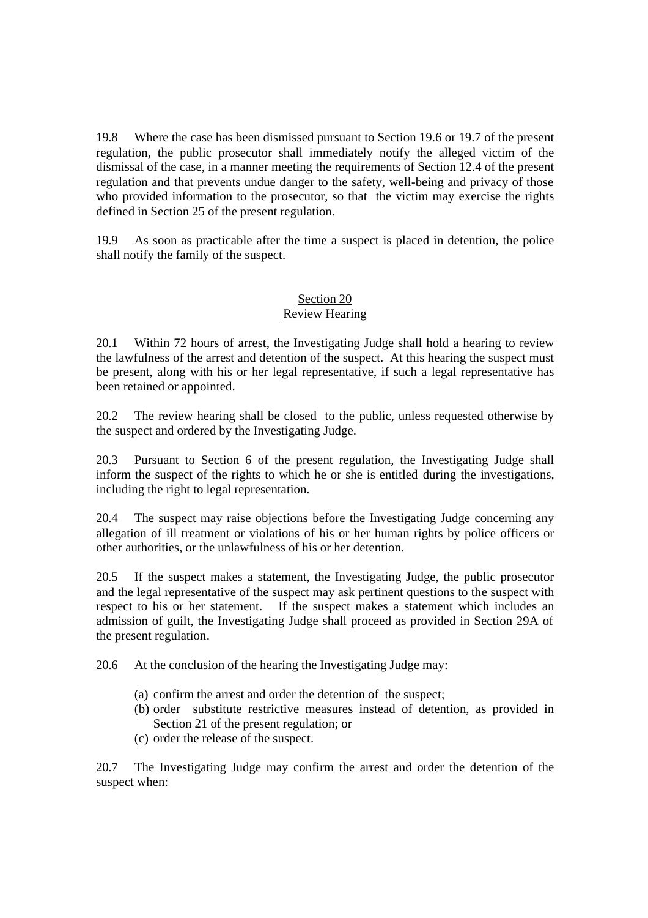19.8 Where the case has been dismissed pursuant to Section 19.6 or 19.7 of the present regulation, the public prosecutor shall immediately notify the alleged victim of the dismissal of the case, in a manner meeting the requirements of Section 12.4 of the present regulation and that prevents undue danger to the safety, well-being and privacy of those who provided information to the prosecutor, so that the victim may exercise the rights defined in Section 25 of the present regulation.

19.9 As soon as practicable after the time a suspect is placed in detention, the police shall notify the family of the suspect.

### Section 20 Review Hearing

20.1 Within 72 hours of arrest, the Investigating Judge shall hold a hearing to review the lawfulness of the arrest and detention of the suspect. At this hearing the suspect must be present, along with his or her legal representative, if such a legal representative has been retained or appointed.

20.2 The review hearing shall be closed to the public, unless requested otherwise by the suspect and ordered by the Investigating Judge.

20.3 Pursuant to Section 6 of the present regulation, the Investigating Judge shall inform the suspect of the rights to which he or she is entitled during the investigations, including the right to legal representation.

20.4 The suspect may raise objections before the Investigating Judge concerning any allegation of ill treatment or violations of his or her human rights by police officers or other authorities, or the unlawfulness of his or her detention.

20.5 If the suspect makes a statement, the Investigating Judge, the public prosecutor and the legal representative of the suspect may ask pertinent questions to the suspect with respect to his or her statement. If the suspect makes a statement which includes an admission of guilt, the Investigating Judge shall proceed as provided in Section 29A of the present regulation.

20.6 At the conclusion of the hearing the Investigating Judge may:

- (a) confirm the arrest and order the detention of the suspect;
- (b) order substitute restrictive measures instead of detention, as provided in Section 21 of the present regulation; or
- (c) order the release of the suspect.

20.7 The Investigating Judge may confirm the arrest and order the detention of the suspect when: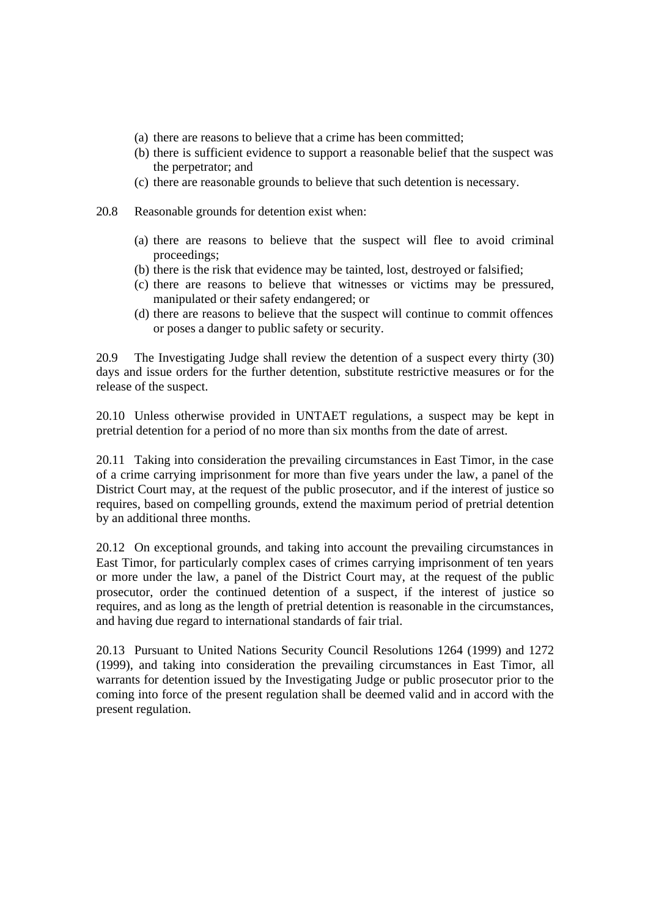- (a) there are reasons to believe that a crime has been committed;
- (b) there is sufficient evidence to support a reasonable belief that the suspect was the perpetrator; and
- (c) there are reasonable grounds to believe that such detention is necessary.
- 20.8 Reasonable grounds for detention exist when:
	- (a) there are reasons to believe that the suspect will flee to avoid criminal proceedings;
	- (b) there is the risk that evidence may be tainted, lost, destroyed or falsified;
	- (c) there are reasons to believe that witnesses or victims may be pressured, manipulated or their safety endangered; or
	- (d) there are reasons to believe that the suspect will continue to commit offences or poses a danger to public safety or security.

20.9 The Investigating Judge shall review the detention of a suspect every thirty (30) days and issue orders for the further detention, substitute restrictive measures or for the release of the suspect.

20.10 Unless otherwise provided in UNTAET regulations, a suspect may be kept in pretrial detention for a period of no more than six months from the date of arrest.

20.11 Taking into consideration the prevailing circumstances in East Timor, in the case of a crime carrying imprisonment for more than five years under the law, a panel of the District Court may, at the request of the public prosecutor, and if the interest of justice so requires, based on compelling grounds, extend the maximum period of pretrial detention by an additional three months.

20.12 On exceptional grounds, and taking into account the prevailing circumstances in East Timor, for particularly complex cases of crimes carrying imprisonment of ten years or more under the law, a panel of the District Court may, at the request of the public prosecutor, order the continued detention of a suspect, if the interest of justice so requires, and as long as the length of pretrial detention is reasonable in the circumstances, and having due regard to international standards of fair trial.

20.13 Pursuant to United Nations Security Council Resolutions 1264 (1999) and 1272 (1999), and taking into consideration the prevailing circumstances in East Timor, all warrants for detention issued by the Investigating Judge or public prosecutor prior to the coming into force of the present regulation shall be deemed valid and in accord with the present regulation.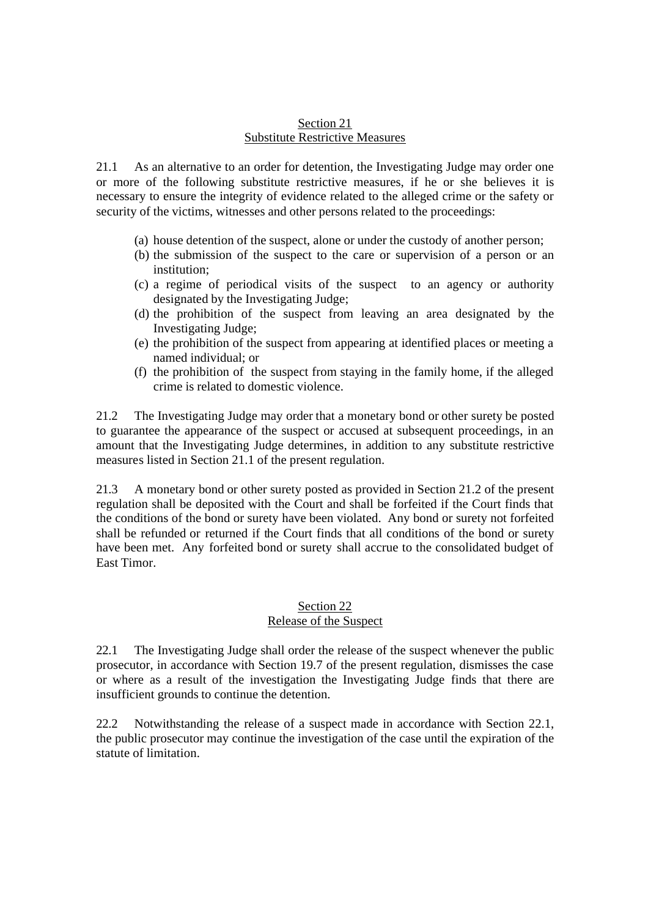#### Section 21 Substitute Restrictive Measures

21.1 As an alternative to an order for detention, the Investigating Judge may order one or more of the following substitute restrictive measures, if he or she believes it is necessary to ensure the integrity of evidence related to the alleged crime or the safety or security of the victims, witnesses and other persons related to the proceedings:

- (a) house detention of the suspect, alone or under the custody of another person;
- (b) the submission of the suspect to the care or supervision of a person or an institution;
- (c) a regime of periodical visits of the suspect to an agency or authority designated by the Investigating Judge;
- (d) the prohibition of the suspect from leaving an area designated by the Investigating Judge;
- (e) the prohibition of the suspect from appearing at identified places or meeting a named individual; or
- (f) the prohibition of the suspect from staying in the family home, if the alleged crime is related to domestic violence.

21.2 The Investigating Judge may order that a monetary bond or other surety be posted to guarantee the appearance of the suspect or accused at subsequent proceedings, in an amount that the Investigating Judge determines, in addition to any substitute restrictive measures listed in Section 21.1 of the present regulation.

21.3 A monetary bond or other surety posted as provided in Section 21.2 of the present regulation shall be deposited with the Court and shall be forfeited if the Court finds that the conditions of the bond or surety have been violated. Any bond or surety not forfeited shall be refunded or returned if the Court finds that all conditions of the bond or surety have been met. Any forfeited bond or surety shall accrue to the consolidated budget of East Timor.

#### Section 22 Release of the Suspect

22.1 The Investigating Judge shall order the release of the suspect whenever the public prosecutor, in accordance with Section 19.7 of the present regulation, dismisses the case or where as a result of the investigation the Investigating Judge finds that there are insufficient grounds to continue the detention.

22.2 Notwithstanding the release of a suspect made in accordance with Section 22.1, the public prosecutor may continue the investigation of the case until the expiration of the statute of limitation.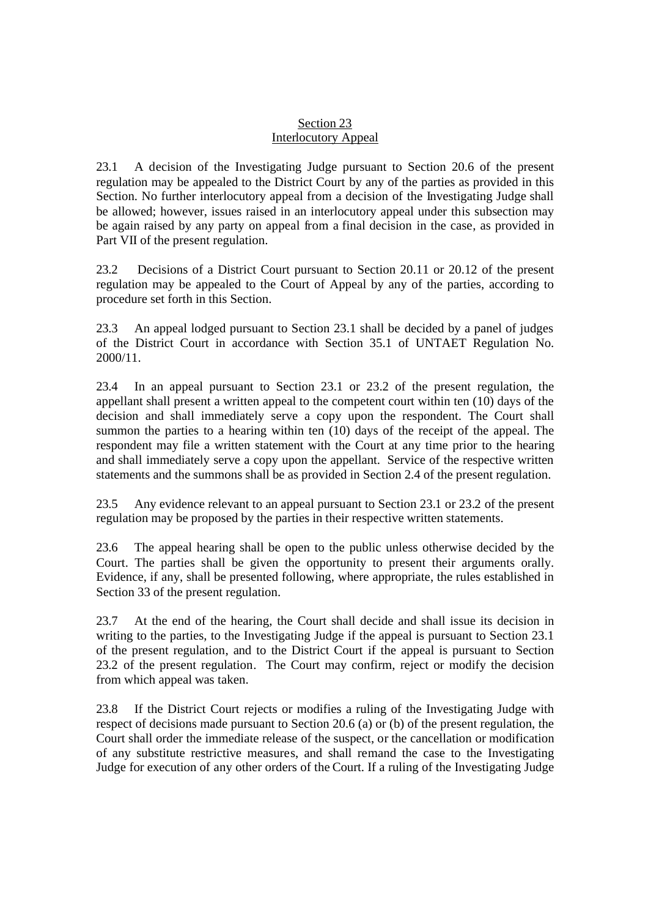## Section 23 Interlocutory Appeal

23.1 A decision of the Investigating Judge pursuant to Section 20.6 of the present regulation may be appealed to the District Court by any of the parties as provided in this Section. No further interlocutory appeal from a decision of the Investigating Judge shall be allowed; however, issues raised in an interlocutory appeal under this subsection may be again raised by any party on appeal from a final decision in the case, as provided in Part VII of the present regulation.

23.2 Decisions of a District Court pursuant to Section 20.11 or 20.12 of the present regulation may be appealed to the Court of Appeal by any of the parties, according to procedure set forth in this Section.

23.3 An appeal lodged pursuant to Section 23.1 shall be decided by a panel of judges of the District Court in accordance with Section 35.1 of UNTAET Regulation No. 2000/11.

23.4 In an appeal pursuant to Section 23.1 or 23.2 of the present regulation, the appellant shall present a written appeal to the competent court within ten (10) days of the decision and shall immediately serve a copy upon the respondent. The Court shall summon the parties to a hearing within ten (10) days of the receipt of the appeal. The respondent may file a written statement with the Court at any time prior to the hearing and shall immediately serve a copy upon the appellant. Service of the respective written statements and the summons shall be as provided in Section 2.4 of the present regulation.

23.5 Any evidence relevant to an appeal pursuant to Section 23.1 or 23.2 of the present regulation may be proposed by the parties in their respective written statements.

23.6 The appeal hearing shall be open to the public unless otherwise decided by the Court. The parties shall be given the opportunity to present their arguments orally. Evidence, if any, shall be presented following, where appropriate, the rules established in Section 33 of the present regulation.

23.7 At the end of the hearing, the Court shall decide and shall issue its decision in writing to the parties, to the Investigating Judge if the appeal is pursuant to Section 23.1 of the present regulation, and to the District Court if the appeal is pursuant to Section 23.2 of the present regulation. The Court may confirm, reject or modify the decision from which appeal was taken.

23.8 If the District Court rejects or modifies a ruling of the Investigating Judge with respect of decisions made pursuant to Section 20.6 (a) or (b) of the present regulation, the Court shall order the immediate release of the suspect, or the cancellation or modification of any substitute restrictive measures, and shall remand the case to the Investigating Judge for execution of any other orders of the Court. If a ruling of the Investigating Judge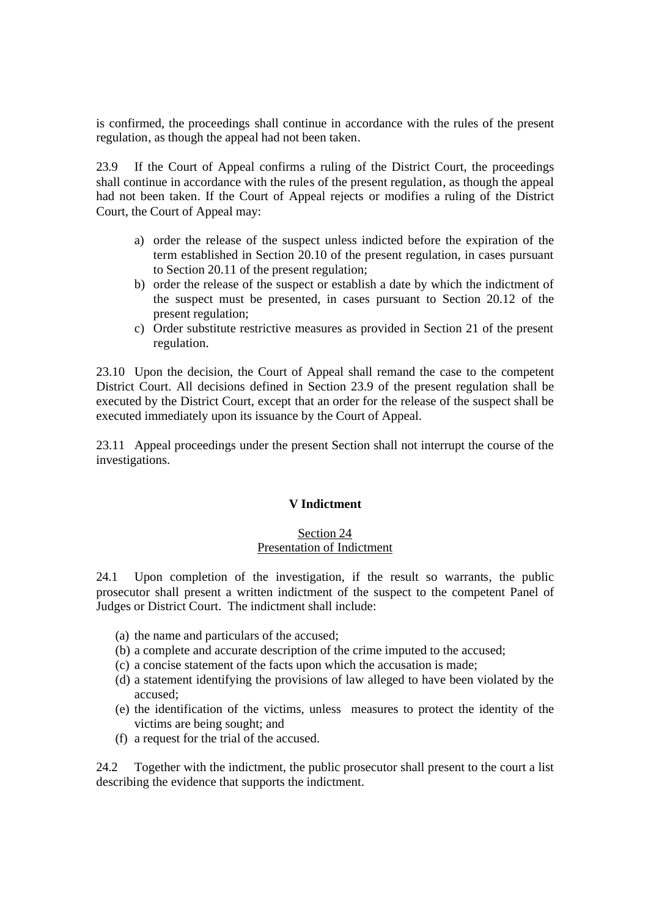is confirmed, the proceedings shall continue in accordance with the rules of the present regulation, as though the appeal had not been taken.

23.9 If the Court of Appeal confirms a ruling of the District Court, the proceedings shall continue in accordance with the rules of the present regulation, as though the appeal had not been taken. If the Court of Appeal rejects or modifies a ruling of the District Court, the Court of Appeal may:

- a) order the release of the suspect unless indicted before the expiration of the term established in Section 20.10 of the present regulation, in cases pursuant to Section 20.11 of the present regulation;
- b) order the release of the suspect or establish a date by which the indictment of the suspect must be presented, in cases pursuant to Section 20.12 of the present regulation;
- c) Order substitute restrictive measures as provided in Section 21 of the present regulation.

23.10 Upon the decision, the Court of Appeal shall remand the case to the competent District Court. All decisions defined in Section 23.9 of the present regulation shall be executed by the District Court, except that an order for the release of the suspect shall be executed immediately upon its issuance by the Court of Appeal.

23.11 Appeal proceedings under the present Section shall not interrupt the course of the investigations.

### **V Indictment**

#### Section 24 Presentation of Indictment

24.1 Upon completion of the investigation, if the result so warrants, the public prosecutor shall present a written indictment of the suspect to the competent Panel of Judges or District Court. The indictment shall include:

- (a) the name and particulars of the accused;
- (b) a complete and accurate description of the crime imputed to the accused;
- (c) a concise statement of the facts upon which the accusation is made;
- (d) a statement identifying the provisions of law alleged to have been violated by the accused;
- (e) the identification of the victims, unless measures to protect the identity of the victims are being sought; and
- (f) a request for the trial of the accused.

24.2 Together with the indictment, the public prosecutor shall present to the court a list describing the evidence that supports the indictment.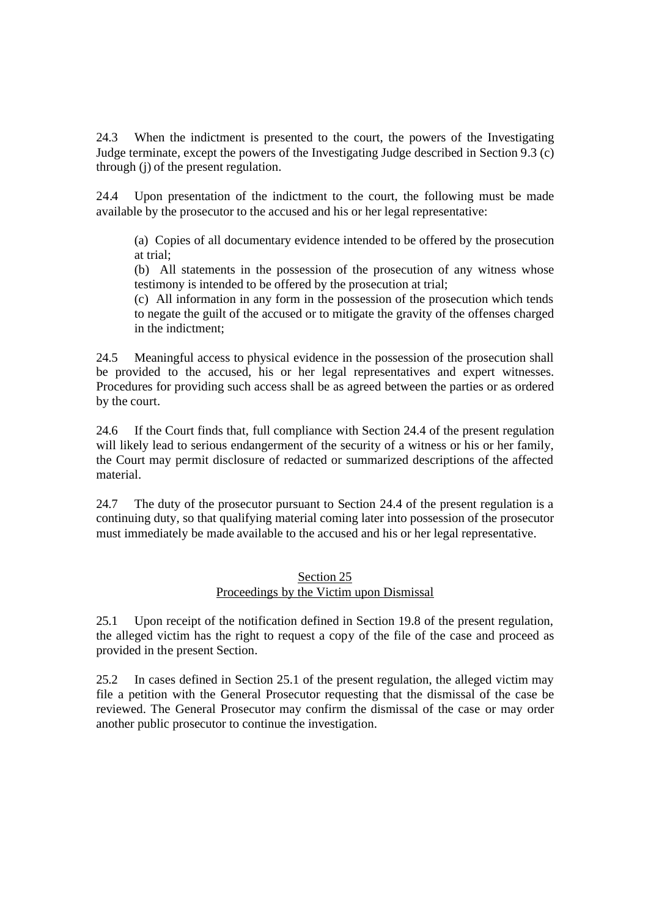24.3 When the indictment is presented to the court, the powers of the Investigating Judge terminate, except the powers of the Investigating Judge described in Section 9.3 (c) through (j) of the present regulation.

24.4 Upon presentation of the indictment to the court, the following must be made available by the prosecutor to the accused and his or her legal representative:

(a) Copies of all documentary evidence intended to be offered by the prosecution at trial;

(b) All statements in the possession of the prosecution of any witness whose testimony is intended to be offered by the prosecution at trial;

(c) All information in any form in the possession of the prosecution which tends to negate the guilt of the accused or to mitigate the gravity of the offenses charged in the indictment;

24.5 Meaningful access to physical evidence in the possession of the prosecution shall be provided to the accused, his or her legal representatives and expert witnesses. Procedures for providing such access shall be as agreed between the parties or as ordered by the court.

24.6 If the Court finds that, full compliance with Section 24.4 of the present regulation will likely lead to serious endangerment of the security of a witness or his or her family, the Court may permit disclosure of redacted or summarized descriptions of the affected material.

24.7 The duty of the prosecutor pursuant to Section 24.4 of the present regulation is a continuing duty, so that qualifying material coming later into possession of the prosecutor must immediately be made available to the accused and his or her legal representative.

### Section 25 Proceedings by the Victim upon Dismissal

25.1 Upon receipt of the notification defined in Section 19.8 of the present regulation, the alleged victim has the right to request a copy of the file of the case and proceed as provided in the present Section.

25.2 In cases defined in Section 25.1 of the present regulation, the alleged victim may file a petition with the General Prosecutor requesting that the dismissal of the case be reviewed. The General Prosecutor may confirm the dismissal of the case or may order another public prosecutor to continue the investigation.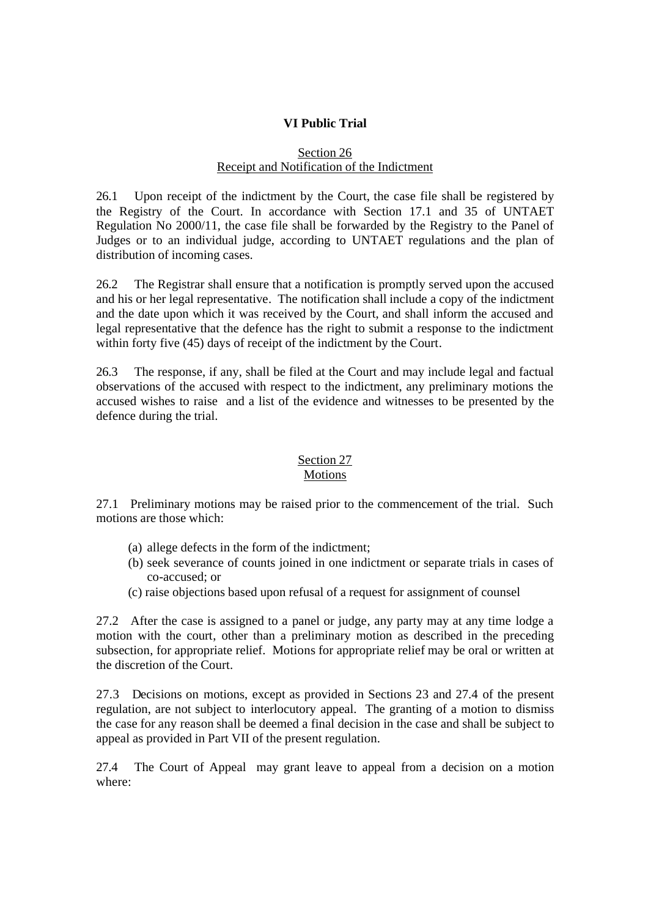# **VI Public Trial**

#### Section 26 Receipt and Notification of the Indictment

26.1 Upon receipt of the indictment by the Court, the case file shall be registered by the Registry of the Court. In accordance with Section 17.1 and 35 of UNTAET Regulation No 2000/11, the case file shall be forwarded by the Registry to the Panel of Judges or to an individual judge, according to UNTAET regulations and the plan of distribution of incoming cases.

26.2 The Registrar shall ensure that a notification is promptly served upon the accused and his or her legal representative. The notification shall include a copy of the indictment and the date upon which it was received by the Court, and shall inform the accused and legal representative that the defence has the right to submit a response to the indictment within forty five (45) days of receipt of the indictment by the Court.

26.3 The response, if any, shall be filed at the Court and may include legal and factual observations of the accused with respect to the indictment, any preliminary motions the accused wishes to raise and a list of the evidence and witnesses to be presented by the defence during the trial.

# Section 27

### Motions

27.1 Preliminary motions may be raised prior to the commencement of the trial. Such motions are those which:

- (a) allege defects in the form of the indictment;
- (b) seek severance of counts joined in one indictment or separate trials in cases of co-accused; or
- (c) raise objections based upon refusal of a request for assignment of counsel

27.2 After the case is assigned to a panel or judge, any party may at any time lodge a motion with the court, other than a preliminary motion as described in the preceding subsection, for appropriate relief. Motions for appropriate relief may be oral or written at the discretion of the Court.

27.3 Decisions on motions, except as provided in Sections 23 and 27.4 of the present regulation, are not subject to interlocutory appeal. The granting of a motion to dismiss the case for any reason shall be deemed a final decision in the case and shall be subject to appeal as provided in Part VII of the present regulation.

27.4 The Court of Appeal may grant leave to appeal from a decision on a motion where: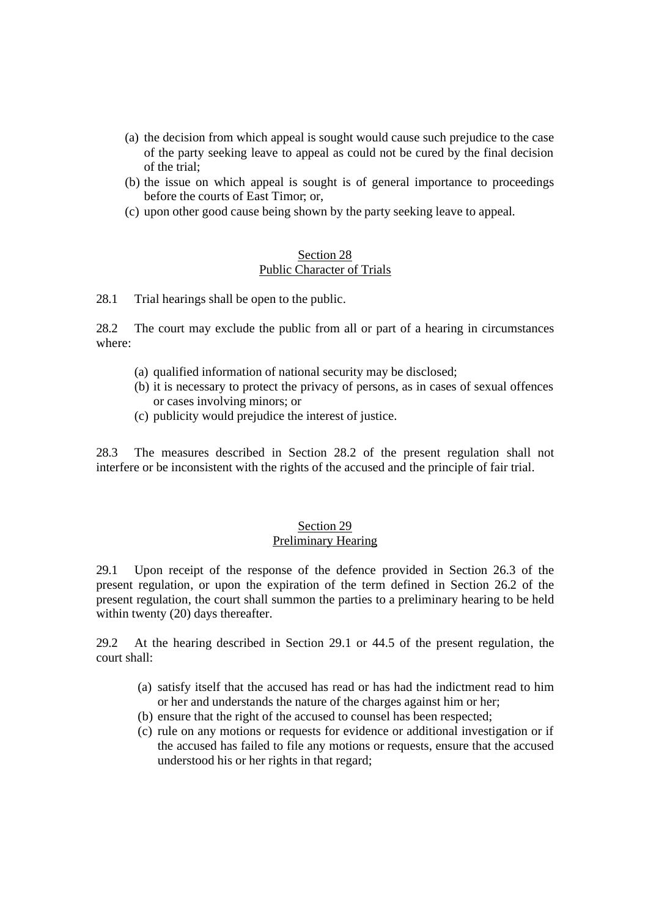- (a) the decision from which appeal is sought would cause such prejudice to the case of the party seeking leave to appeal as could not be cured by the final decision of the trial;
- (b) the issue on which appeal is sought is of general importance to proceedings before the courts of East Timor; or,
- (c) upon other good cause being shown by the party seeking leave to appeal.

#### Section 28 Public Character of Trials

28.1 Trial hearings shall be open to the public.

28.2 The court may exclude the public from all or part of a hearing in circumstances where:

- (a) qualified information of national security may be disclosed;
- (b) it is necessary to protect the privacy of persons, as in cases of sexual offences or cases involving minors; or
- (c) publicity would prejudice the interest of justice.

28.3 The measures described in Section 28.2 of the present regulation shall not interfere or be inconsistent with the rights of the accused and the principle of fair trial.

#### Section 29 Preliminary Hearing

29.1 Upon receipt of the response of the defence provided in Section 26.3 of the present regulation, or upon the expiration of the term defined in Section 26.2 of the present regulation, the court shall summon the parties to a preliminary hearing to be held within twenty (20) days thereafter.

29.2 At the hearing described in Section 29.1 or 44.5 of the present regulation, the court shall:

- (a) satisfy itself that the accused has read or has had the indictment read to him or her and understands the nature of the charges against him or her;
- (b) ensure that the right of the accused to counsel has been respected;
- (c) rule on any motions or requests for evidence or additional investigation or if the accused has failed to file any motions or requests, ensure that the accused understood his or her rights in that regard;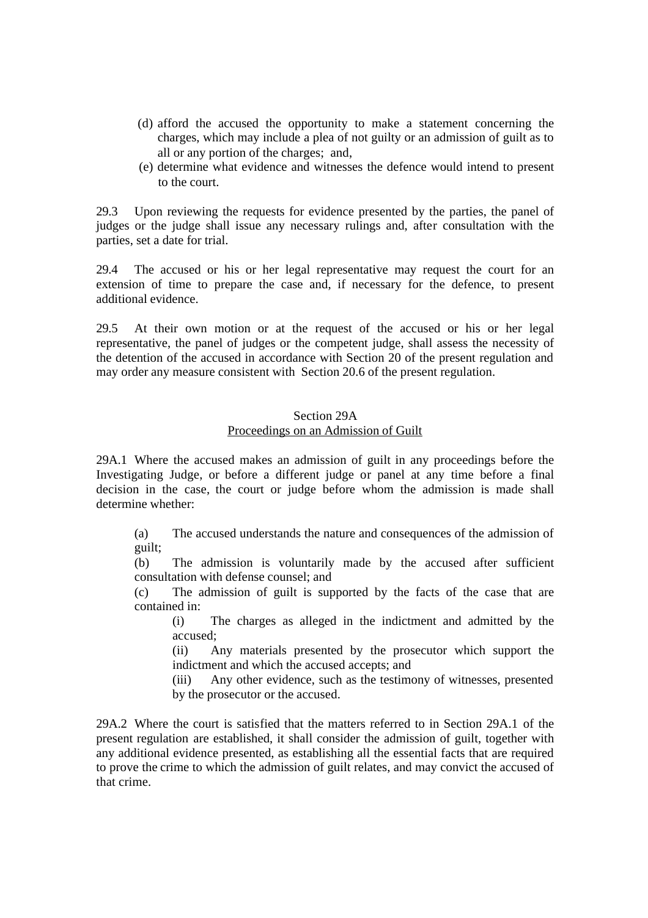- (d) afford the accused the opportunity to make a statement concerning the charges, which may include a plea of not guilty or an admission of guilt as to all or any portion of the charges; and,
- (e) determine what evidence and witnesses the defence would intend to present to the court.

29.3 Upon reviewing the requests for evidence presented by the parties, the panel of judges or the judge shall issue any necessary rulings and, after consultation with the parties, set a date for trial.

29.4 The accused or his or her legal representative may request the court for an extension of time to prepare the case and, if necessary for the defence, to present additional evidence.

29.5 At their own motion or at the request of the accused or his or her legal representative, the panel of judges or the competent judge, shall assess the necessity of the detention of the accused in accordance with Section 20 of the present regulation and may order any measure consistent with Section 20.6 of the present regulation.

#### Section 29A

#### Proceedings on an Admission of Guilt

29A.1 Where the accused makes an admission of guilt in any proceedings before the Investigating Judge, or before a different judge or panel at any time before a final decision in the case, the court or judge before whom the admission is made shall determine whether:

(a) The accused understands the nature and consequences of the admission of guilt;

(b) The admission is voluntarily made by the accused after sufficient consultation with defense counsel; and

(c) The admission of guilt is supported by the facts of the case that are contained in:

(i) The charges as alleged in the indictment and admitted by the accused;

(ii) Any materials presented by the prosecutor which support the indictment and which the accused accepts; and

(iii) Any other evidence, such as the testimony of witnesses, presented by the prosecutor or the accused.

29A.2 Where the court is satisfied that the matters referred to in Section 29A.1 of the present regulation are established, it shall consider the admission of guilt, together with any additional evidence presented, as establishing all the essential facts that are required to prove the crime to which the admission of guilt relates, and may convict the accused of that crime.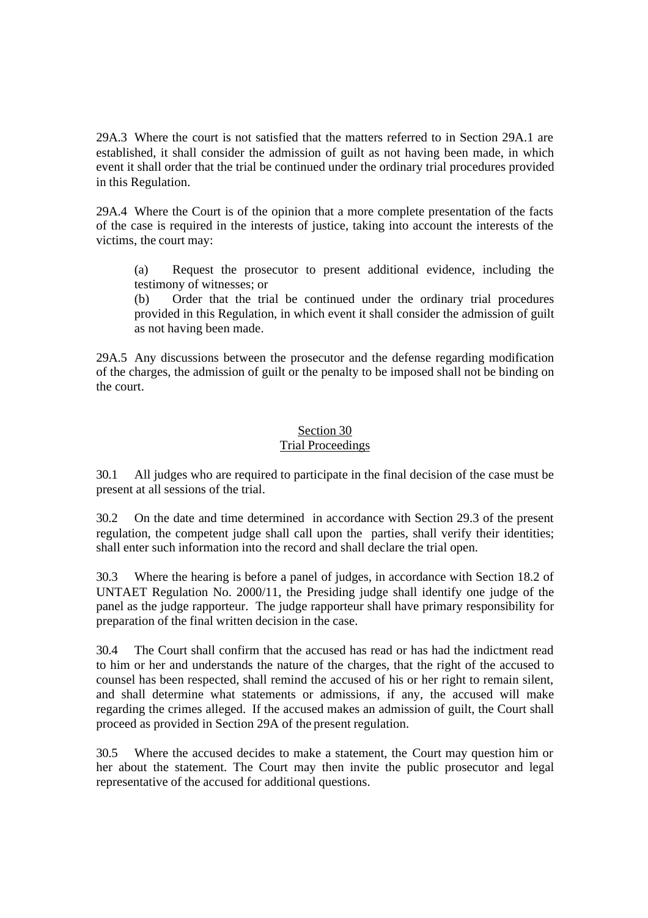29A.3 Where the court is not satisfied that the matters referred to in Section 29A.1 are established, it shall consider the admission of guilt as not having been made, in which event it shall order that the trial be continued under the ordinary trial procedures provided in this Regulation.

29A.4 Where the Court is of the opinion that a more complete presentation of the facts of the case is required in the interests of justice, taking into account the interests of the victims, the court may:

(a) Request the prosecutor to present additional evidence, including the testimony of witnesses; or

(b) Order that the trial be continued under the ordinary trial procedures provided in this Regulation, in which event it shall consider the admission of guilt as not having been made.

29A.5 Any discussions between the prosecutor and the defense regarding modification of the charges, the admission of guilt or the penalty to be imposed shall not be binding on the court.

#### Section 30 Trial Proceedings

30.1 All judges who are required to participate in the final decision of the case must be present at all sessions of the trial.

30.2 On the date and time determined in accordance with Section 29.3 of the present regulation, the competent judge shall call upon the parties, shall verify their identities; shall enter such information into the record and shall declare the trial open.

30.3 Where the hearing is before a panel of judges, in accordance with Section 18.2 of UNTAET Regulation No. 2000/11, the Presiding judge shall identify one judge of the panel as the judge rapporteur. The judge rapporteur shall have primary responsibility for preparation of the final written decision in the case.

30.4 The Court shall confirm that the accused has read or has had the indictment read to him or her and understands the nature of the charges, that the right of the accused to counsel has been respected, shall remind the accused of his or her right to remain silent, and shall determine what statements or admissions, if any, the accused will make regarding the crimes alleged. If the accused makes an admission of guilt, the Court shall proceed as provided in Section 29A of the present regulation.

30.5 Where the accused decides to make a statement, the Court may question him or her about the statement. The Court may then invite the public prosecutor and legal representative of the accused for additional questions.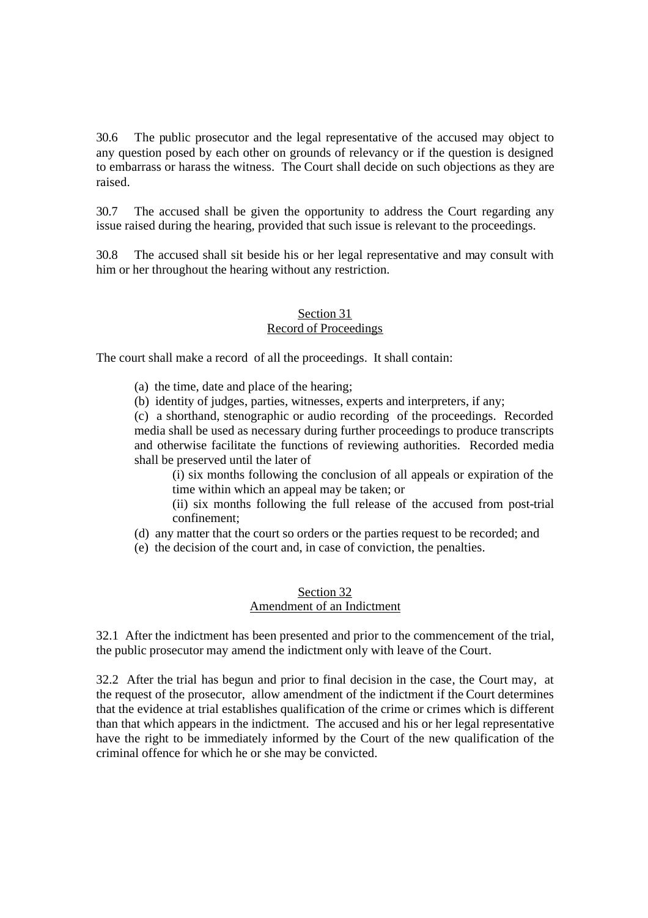30.6 The public prosecutor and the legal representative of the accused may object to any question posed by each other on grounds of relevancy or if the question is designed to embarrass or harass the witness. The Court shall decide on such objections as they are raised.

30.7 The accused shall be given the opportunity to address the Court regarding any issue raised during the hearing, provided that such issue is relevant to the proceedings.

30.8 The accused shall sit beside his or her legal representative and may consult with him or her throughout the hearing without any restriction.

# Section 31

# Record of Proceedings

The court shall make a record of all the proceedings. It shall contain:

- (a) the time, date and place of the hearing;
- (b) identity of judges, parties, witnesses, experts and interpreters, if any;

(c) a shorthand, stenographic or audio recording of the proceedings. Recorded media shall be used as necessary during further proceedings to produce transcripts and otherwise facilitate the functions of reviewing authorities. Recorded media shall be preserved until the later of

(i) six months following the conclusion of all appeals or expiration of the time within which an appeal may be taken; or

- (ii) six months following the full release of the accused from post-trial confinement;
- (d) any matter that the court so orders or the parties request to be recorded; and
- (e) the decision of the court and, in case of conviction, the penalties.

## Section 32 Amendment of an Indictment

32.1 After the indictment has been presented and prior to the commencement of the trial, the public prosecutor may amend the indictment only with leave of the Court.

32.2 After the trial has begun and prior to final decision in the case, the Court may, at the request of the prosecutor, allow amendment of the indictment if the Court determines that the evidence at trial establishes qualification of the crime or crimes which is different than that which appears in the indictment. The accused and his or her legal representative have the right to be immediately informed by the Court of the new qualification of the criminal offence for which he or she may be convicted.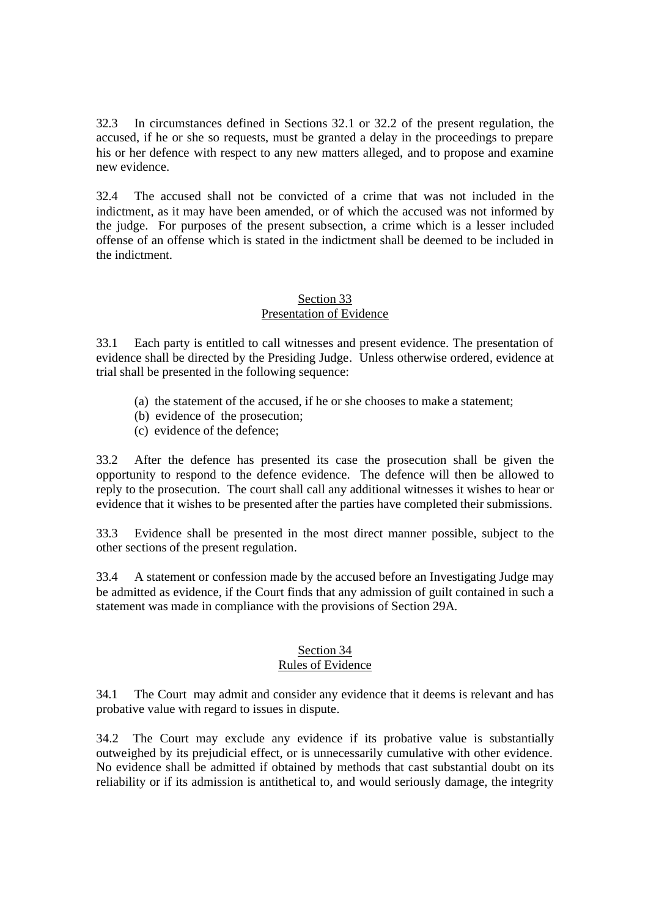32.3 In circumstances defined in Sections 32.1 or 32.2 of the present regulation, the accused, if he or she so requests, must be granted a delay in the proceedings to prepare his or her defence with respect to any new matters alleged, and to propose and examine new evidence.

32.4 The accused shall not be convicted of a crime that was not included in the indictment, as it may have been amended, or of which the accused was not informed by the judge. For purposes of the present subsection, a crime which is a lesser included offense of an offense which is stated in the indictment shall be deemed to be included in the indictment.

### Section 33 Presentation of Evidence

33.1 Each party is entitled to call witnesses and present evidence. The presentation of evidence shall be directed by the Presiding Judge. Unless otherwise ordered, evidence at trial shall be presented in the following sequence:

- (a) the statement of the accused, if he or she chooses to make a statement;
- (b) evidence of the prosecution;
- (c) evidence of the defence;

33.2 After the defence has presented its case the prosecution shall be given the opportunity to respond to the defence evidence. The defence will then be allowed to reply to the prosecution. The court shall call any additional witnesses it wishes to hear or evidence that it wishes to be presented after the parties have completed their submissions.

33.3 Evidence shall be presented in the most direct manner possible, subject to the other sections of the present regulation.

33.4 A statement or confession made by the accused before an Investigating Judge may be admitted as evidence, if the Court finds that any admission of guilt contained in such a statement was made in compliance with the provisions of Section 29A.

#### Section 34 Rules of Evidence

34.1 The Court may admit and consider any evidence that it deems is relevant and has probative value with regard to issues in dispute.

34.2 The Court may exclude any evidence if its probative value is substantially outweighed by its prejudicial effect, or is unnecessarily cumulative with other evidence. No evidence shall be admitted if obtained by methods that cast substantial doubt on its reliability or if its admission is antithetical to, and would seriously damage, the integrity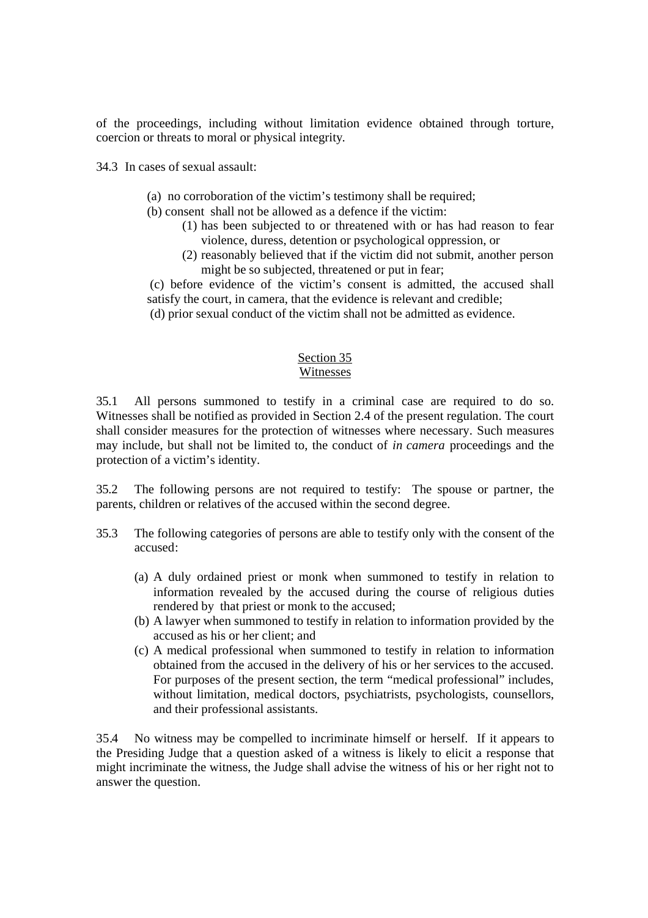of the proceedings, including without limitation evidence obtained through torture, coercion or threats to moral or physical integrity.

34.3 In cases of sexual assault:

- (a) no corroboration of the victim's testimony shall be required;
- (b) consent shall not be allowed as a defence if the victim:
	- (1) has been subjected to or threatened with or has had reason to fear violence, duress, detention or psychological oppression, or
	- (2) reasonably believed that if the victim did not submit, another person might be so subjected, threatened or put in fear;

 (c) before evidence of the victim's consent is admitted, the accused shall satisfy the court, in camera, that the evidence is relevant and credible;

(d) prior sexual conduct of the victim shall not be admitted as evidence.

#### Section 35 Witnesses

35.1 All persons summoned to testify in a criminal case are required to do so. Witnesses shall be notified as provided in Section 2.4 of the present regulation. The court shall consider measures for the protection of witnesses where necessary. Such measures may include, but shall not be limited to, the conduct of *in camera* proceedings and the protection of a victim's identity.

35.2 The following persons are not required to testify: The spouse or partner, the parents, children or relatives of the accused within the second degree.

- 35.3 The following categories of persons are able to testify only with the consent of the accused:
	- (a) A duly ordained priest or monk when summoned to testify in relation to information revealed by the accused during the course of religious duties rendered by that priest or monk to the accused;
	- (b) A lawyer when summoned to testify in relation to information provided by the accused as his or her client; and
	- (c) A medical professional when summoned to testify in relation to information obtained from the accused in the delivery of his or her services to the accused. For purposes of the present section, the term "medical professional" includes, without limitation, medical doctors, psychiatrists, psychologists, counsellors, and their professional assistants.

35.4 No witness may be compelled to incriminate himself or herself. If it appears to the Presiding Judge that a question asked of a witness is likely to elicit a response that might incriminate the witness, the Judge shall advise the witness of his or her right not to answer the question.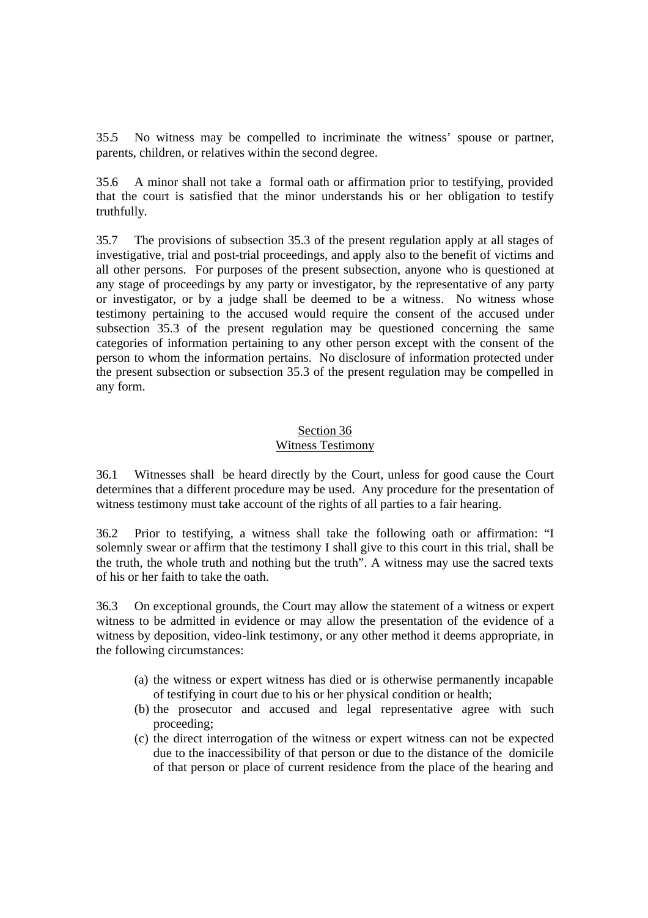35.5 No witness may be compelled to incriminate the witness' spouse or partner, parents, children, or relatives within the second degree.

35.6 A minor shall not take a formal oath or affirmation prior to testifying, provided that the court is satisfied that the minor understands his or her obligation to testify truthfully.

35.7 The provisions of subsection 35.3 of the present regulation apply at all stages of investigative, trial and post-trial proceedings, and apply also to the benefit of victims and all other persons. For purposes of the present subsection, anyone who is questioned at any stage of proceedings by any party or investigator, by the representative of any party or investigator, or by a judge shall be deemed to be a witness. No witness whose testimony pertaining to the accused would require the consent of the accused under subsection 35.3 of the present regulation may be questioned concerning the same categories of information pertaining to any other person except with the consent of the person to whom the information pertains. No disclosure of information protected under the present subsection or subsection 35.3 of the present regulation may be compelled in any form.

#### Section 36 Witness Testimony

36.1 Witnesses shall be heard directly by the Court, unless for good cause the Court determines that a different procedure may be used. Any procedure for the presentation of witness testimony must take account of the rights of all parties to a fair hearing.

36.2 Prior to testifying, a witness shall take the following oath or affirmation: "I solemnly swear or affirm that the testimony I shall give to this court in this trial, shall be the truth, the whole truth and nothing but the truth". A witness may use the sacred texts of his or her faith to take the oath.

36.3 On exceptional grounds, the Court may allow the statement of a witness or expert witness to be admitted in evidence or may allow the presentation of the evidence of a witness by deposition, video-link testimony, or any other method it deems appropriate, in the following circumstances:

- (a) the witness or expert witness has died or is otherwise permanently incapable of testifying in court due to his or her physical condition or health;
- (b) the prosecutor and accused and legal representative agree with such proceeding;
- (c) the direct interrogation of the witness or expert witness can not be expected due to the inaccessibility of that person or due to the distance of the domicile of that person or place of current residence from the place of the hearing and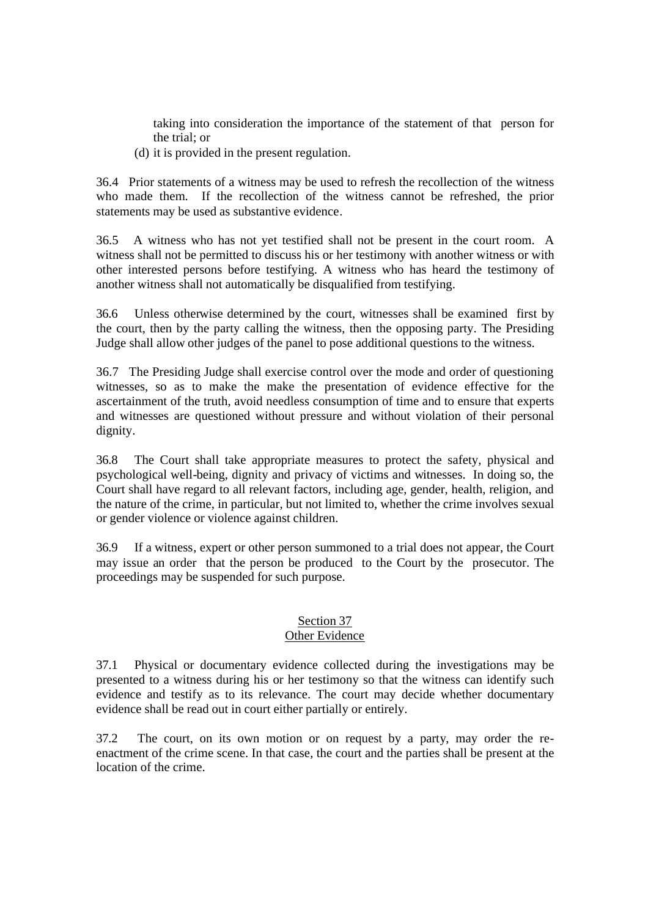taking into consideration the importance of the statement of that person for the trial; or

(d) it is provided in the present regulation.

36.4 Prior statements of a witness may be used to refresh the recollection of the witness who made them. If the recollection of the witness cannot be refreshed, the prior statements may be used as substantive evidence.

36.5 A witness who has not yet testified shall not be present in the court room. A witness shall not be permitted to discuss his or her testimony with another witness or with other interested persons before testifying. A witness who has heard the testimony of another witness shall not automatically be disqualified from testifying.

36.6 Unless otherwise determined by the court, witnesses shall be examined first by the court, then by the party calling the witness, then the opposing party. The Presiding Judge shall allow other judges of the panel to pose additional questions to the witness.

36.7 The Presiding Judge shall exercise control over the mode and order of questioning witnesses, so as to make the make the presentation of evidence effective for the ascertainment of the truth, avoid needless consumption of time and to ensure that experts and witnesses are questioned without pressure and without violation of their personal dignity.

36.8 The Court shall take appropriate measures to protect the safety, physical and psychological well-being, dignity and privacy of victims and witnesses. In doing so, the Court shall have regard to all relevant factors, including age, gender, health, religion, and the nature of the crime, in particular, but not limited to, whether the crime involves sexual or gender violence or violence against children.

36.9 If a witness, expert or other person summoned to a trial does not appear, the Court may issue an order that the person be produced to the Court by the prosecutor. The proceedings may be suspended for such purpose.

#### Section 37 Other Evidence

37.1 Physical or documentary evidence collected during the investigations may be presented to a witness during his or her testimony so that the witness can identify such evidence and testify as to its relevance. The court may decide whether documentary evidence shall be read out in court either partially or entirely.

37.2 The court, on its own motion or on request by a party, may order the reenactment of the crime scene. In that case, the court and the parties shall be present at the location of the crime.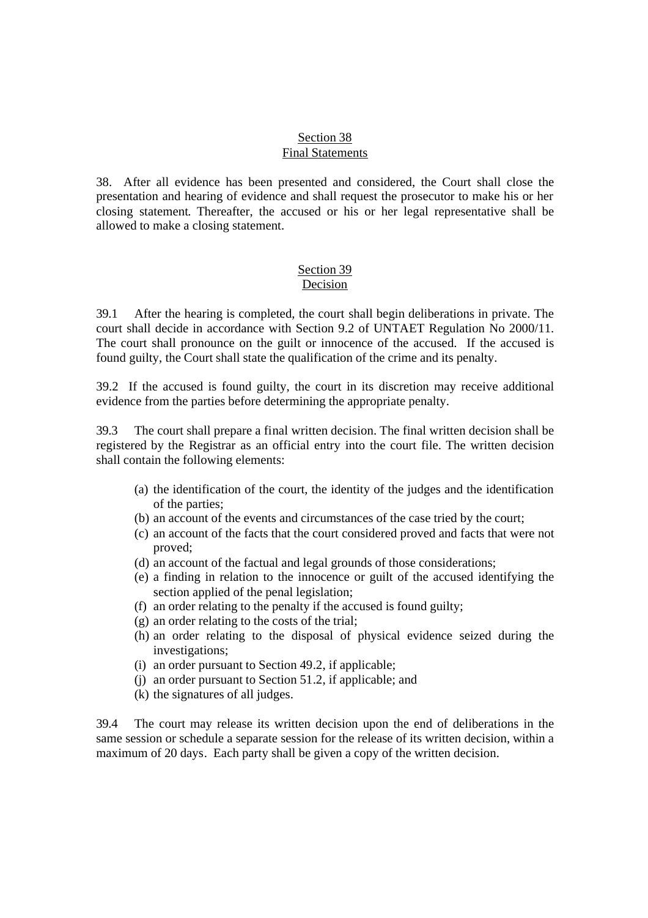#### Section 38 Final Statements

38. After all evidence has been presented and considered, the Court shall close the presentation and hearing of evidence and shall request the prosecutor to make his or her closing statement. Thereafter, the accused or his or her legal representative shall be allowed to make a closing statement.

#### Section 39 Decision

39.1 After the hearing is completed, the court shall begin deliberations in private. The court shall decide in accordance with Section 9.2 of UNTAET Regulation No 2000/11. The court shall pronounce on the guilt or innocence of the accused. If the accused is found guilty, the Court shall state the qualification of the crime and its penalty.

39.2 If the accused is found guilty, the court in its discretion may receive additional evidence from the parties before determining the appropriate penalty.

39.3 The court shall prepare a final written decision. The final written decision shall be registered by the Registrar as an official entry into the court file. The written decision shall contain the following elements:

- (a) the identification of the court, the identity of the judges and the identification of the parties;
- (b) an account of the events and circumstances of the case tried by the court;
- (c) an account of the facts that the court considered proved and facts that were not proved;
- (d) an account of the factual and legal grounds of those considerations;
- (e) a finding in relation to the innocence or guilt of the accused identifying the section applied of the penal legislation;
- (f) an order relating to the penalty if the accused is found guilty;
- (g) an order relating to the costs of the trial;
- (h) an order relating to the disposal of physical evidence seized during the investigations;
- (i) an order pursuant to Section 49.2, if applicable;
- (j) an order pursuant to Section 51.2, if applicable; and
- (k) the signatures of all judges.

39.4 The court may release its written decision upon the end of deliberations in the same session or schedule a separate session for the release of its written decision, within a maximum of 20 days. Each party shall be given a copy of the written decision.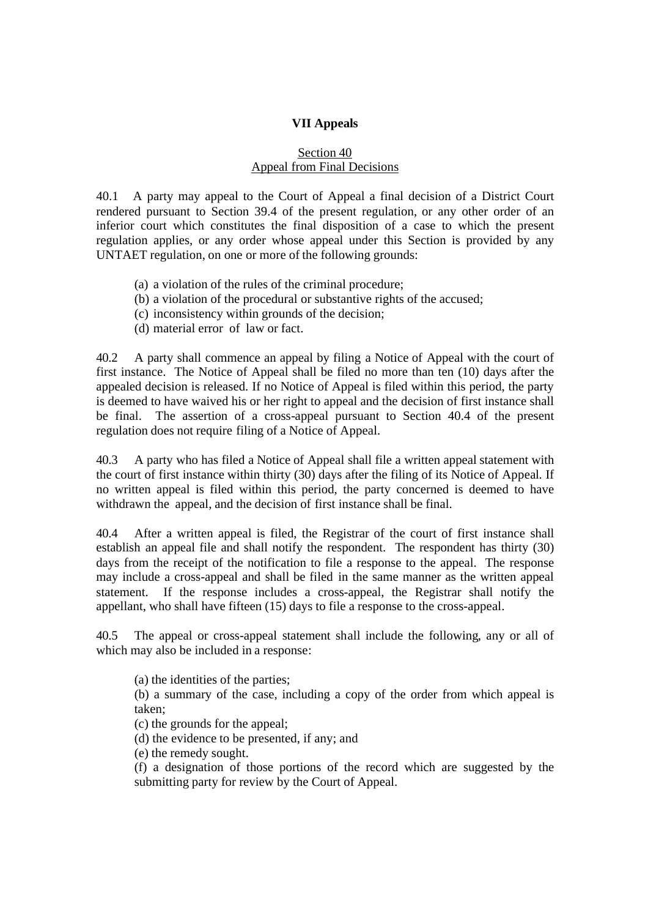### **VII Appeals**

### Section 40 Appeal from Final Decisions

40.1 A party may appeal to the Court of Appeal a final decision of a District Court rendered pursuant to Section 39.4 of the present regulation, or any other order of an inferior court which constitutes the final disposition of a case to which the present regulation applies, or any order whose appeal under this Section is provided by any UNTAET regulation, on one or more of the following grounds:

- (a) a violation of the rules of the criminal procedure;
- (b) a violation of the procedural or substantive rights of the accused;
- (c) inconsistency within grounds of the decision;
- (d) material error of law or fact.

40.2 A party shall commence an appeal by filing a Notice of Appeal with the court of first instance. The Notice of Appeal shall be filed no more than ten (10) days after the appealed decision is released. If no Notice of Appeal is filed within this period, the party is deemed to have waived his or her right to appeal and the decision of first instance shall be final. The assertion of a cross-appeal pursuant to Section 40.4 of the present regulation does not require filing of a Notice of Appeal.

40.3 A party who has filed a Notice of Appeal shall file a written appeal statement with the court of first instance within thirty (30) days after the filing of its Notice of Appeal. If no written appeal is filed within this period, the party concerned is deemed to have withdrawn the appeal, and the decision of first instance shall be final.

40.4 After a written appeal is filed, the Registrar of the court of first instance shall establish an appeal file and shall notify the respondent. The respondent has thirty (30) days from the receipt of the notification to file a response to the appeal. The response may include a cross-appeal and shall be filed in the same manner as the written appeal statement. If the response includes a cross-appeal, the Registrar shall notify the appellant, who shall have fifteen (15) days to file a response to the cross-appeal.

40.5 The appeal or cross-appeal statement shall include the following, any or all of which may also be included in a response:

(a) the identities of the parties;

(b) a summary of the case, including a copy of the order from which appeal is taken;

(c) the grounds for the appeal;

(d) the evidence to be presented, if any; and

(e) the remedy sought.

(f) a designation of those portions of the record which are suggested by the submitting party for review by the Court of Appeal.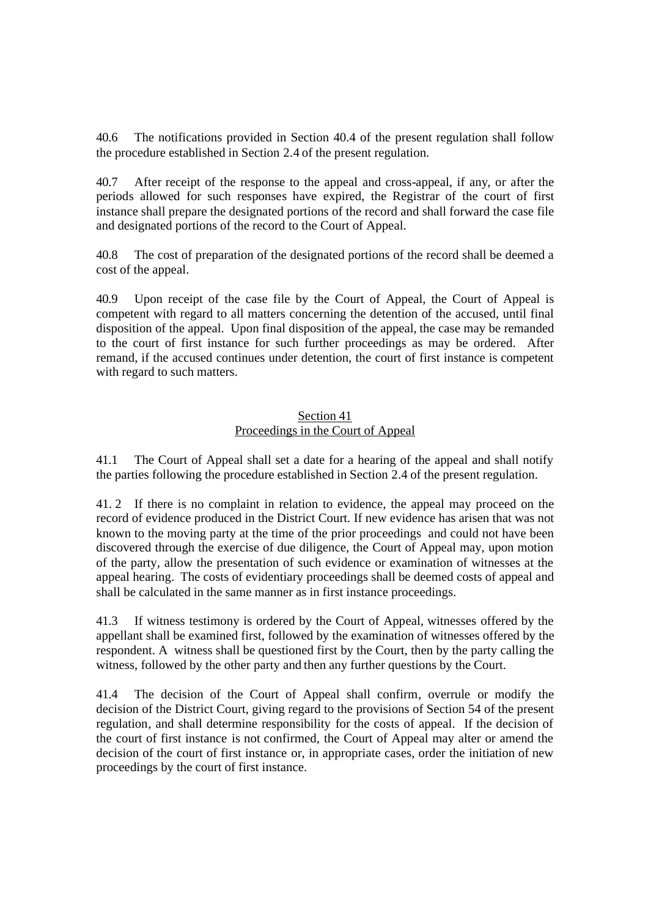The notifications provided in Section 40.4 of the present regulation shall follow the procedure established in Section 2.4 of the present regulation.

40.7 After receipt of the response to the appeal and cross-appeal, if any, or after the periods allowed for such responses have expired, the Registrar of the court of first instance shall prepare the designated portions of the record and shall forward the case file and designated portions of the record to the Court of Appeal.

40.8 The cost of preparation of the designated portions of the record shall be deemed a cost of the appeal.

40.9 Upon receipt of the case file by the Court of Appeal, the Court of Appeal is competent with regard to all matters concerning the detention of the accused, until final disposition of the appeal. Upon final disposition of the appeal, the case may be remanded to the court of first instance for such further proceedings as may be ordered. After remand, if the accused continues under detention, the court of first instance is competent with regard to such matters.

#### Section 41 Proceedings in the Court of Appeal

41.1 The Court of Appeal shall set a date for a hearing of the appeal and shall notify the parties following the procedure established in Section 2.4 of the present regulation.

41. 2 If there is no complaint in relation to evidence, the appeal may proceed on the record of evidence produced in the District Court. If new evidence has arisen that was not known to the moving party at the time of the prior proceedings and could not have been discovered through the exercise of due diligence, the Court of Appeal may, upon motion of the party, allow the presentation of such evidence or examination of witnesses at the appeal hearing. The costs of evidentiary proceedings shall be deemed costs of appeal and shall be calculated in the same manner as in first instance proceedings.

41.3 If witness testimony is ordered by the Court of Appeal, witnesses offered by the appellant shall be examined first, followed by the examination of witnesses offered by the respondent. A witness shall be questioned first by the Court, then by the party calling the witness, followed by the other party and then any further questions by the Court.

41.4 The decision of the Court of Appeal shall confirm, overrule or modify the decision of the District Court, giving regard to the provisions of Section 54 of the present regulation, and shall determine responsibility for the costs of appeal. If the decision of the court of first instance is not confirmed, the Court of Appeal may alter or amend the decision of the court of first instance or, in appropriate cases, order the initiation of new proceedings by the court of first instance.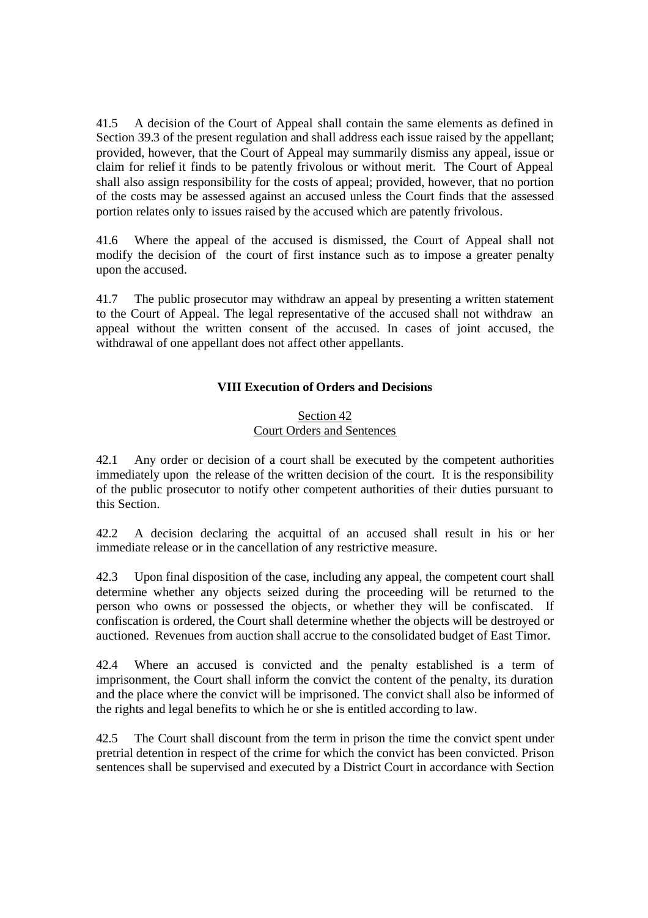41.5 A decision of the Court of Appeal shall contain the same elements as defined in Section 39.3 of the present regulation and shall address each issue raised by the appellant; provided, however, that the Court of Appeal may summarily dismiss any appeal, issue or claim for relief it finds to be patently frivolous or without merit. The Court of Appeal shall also assign responsibility for the costs of appeal; provided, however, that no portion of the costs may be assessed against an accused unless the Court finds that the assessed portion relates only to issues raised by the accused which are patently frivolous.

41.6 Where the appeal of the accused is dismissed, the Court of Appeal shall not modify the decision of the court of first instance such as to impose a greater penalty upon the accused.

41.7 The public prosecutor may withdraw an appeal by presenting a written statement to the Court of Appeal. The legal representative of the accused shall not withdraw an appeal without the written consent of the accused. In cases of joint accused, the withdrawal of one appellant does not affect other appellants.

## **VIII Execution of Orders and Decisions**

#### Section 42 Court Orders and Sentences

42.1 Any order or decision of a court shall be executed by the competent authorities immediately upon the release of the written decision of the court. It is the responsibility of the public prosecutor to notify other competent authorities of their duties pursuant to this Section.

42.2 A decision declaring the acquittal of an accused shall result in his or her immediate release or in the cancellation of any restrictive measure.

42.3 Upon final disposition of the case, including any appeal, the competent court shall determine whether any objects seized during the proceeding will be returned to the person who owns or possessed the objects, or whether they will be confiscated. If confiscation is ordered, the Court shall determine whether the objects will be destroyed or auctioned. Revenues from auction shall accrue to the consolidated budget of East Timor.

42.4 Where an accused is convicted and the penalty established is a term of imprisonment, the Court shall inform the convict the content of the penalty, its duration and the place where the convict will be imprisoned. The convict shall also be informed of the rights and legal benefits to which he or she is entitled according to law.

42.5 The Court shall discount from the term in prison the time the convict spent under pretrial detention in respect of the crime for which the convict has been convicted. Prison sentences shall be supervised and executed by a District Court in accordance with Section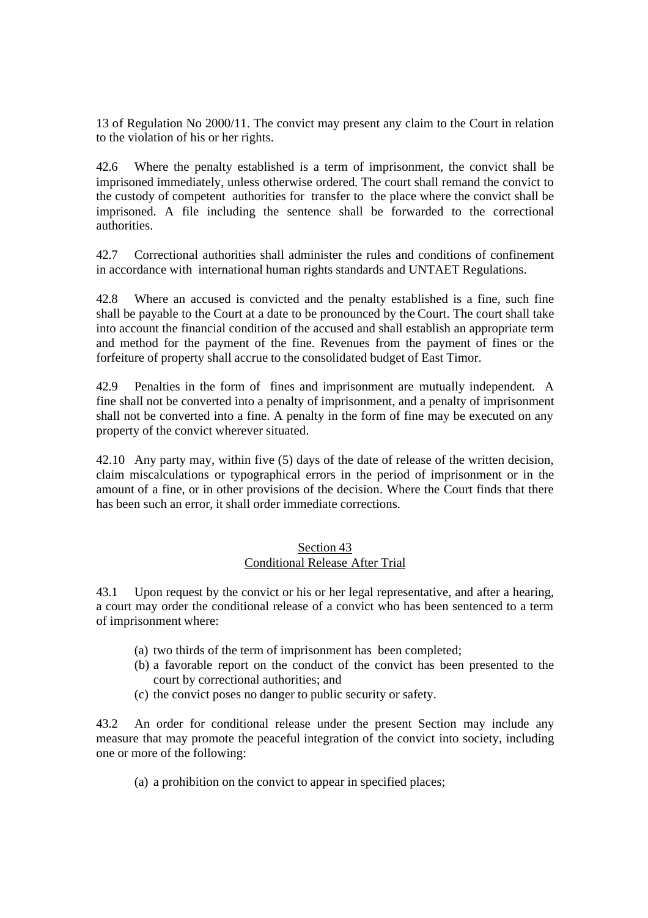13 of Regulation No 2000/11. The convict may present any claim to the Court in relation to the violation of his or her rights.

42.6 Where the penalty established is a term of imprisonment, the convict shall be imprisoned immediately, unless otherwise ordered. The court shall remand the convict to the custody of competent authorities for transfer to the place where the convict shall be imprisoned. A file including the sentence shall be forwarded to the correctional authorities.

42.7 Correctional authorities shall administer the rules and conditions of confinement in accordance with international human rights standards and UNTAET Regulations.

42.8 Where an accused is convicted and the penalty established is a fine, such fine shall be payable to the Court at a date to be pronounced by the Court. The court shall take into account the financial condition of the accused and shall establish an appropriate term and method for the payment of the fine. Revenues from the payment of fines or the forfeiture of property shall accrue to the consolidated budget of East Timor.

42.9 Penalties in the form of fines and imprisonment are mutually independent. A fine shall not be converted into a penalty of imprisonment, and a penalty of imprisonment shall not be converted into a fine. A penalty in the form of fine may be executed on any property of the convict wherever situated.

42.10 Any party may, within five (5) days of the date of release of the written decision, claim miscalculations or typographical errors in the period of imprisonment or in the amount of a fine, or in other provisions of the decision. Where the Court finds that there has been such an error, it shall order immediate corrections.

#### Section 43 Conditional Release After Trial

43.1 Upon request by the convict or his or her legal representative, and after a hearing, a court may order the conditional release of a convict who has been sentenced to a term of imprisonment where:

- (a) two thirds of the term of imprisonment has been completed;
- (b) a favorable report on the conduct of the convict has been presented to the court by correctional authorities; and
- (c) the convict poses no danger to public security or safety.

43.2 An order for conditional release under the present Section may include any measure that may promote the peaceful integration of the convict into society, including one or more of the following:

(a) a prohibition on the convict to appear in specified places;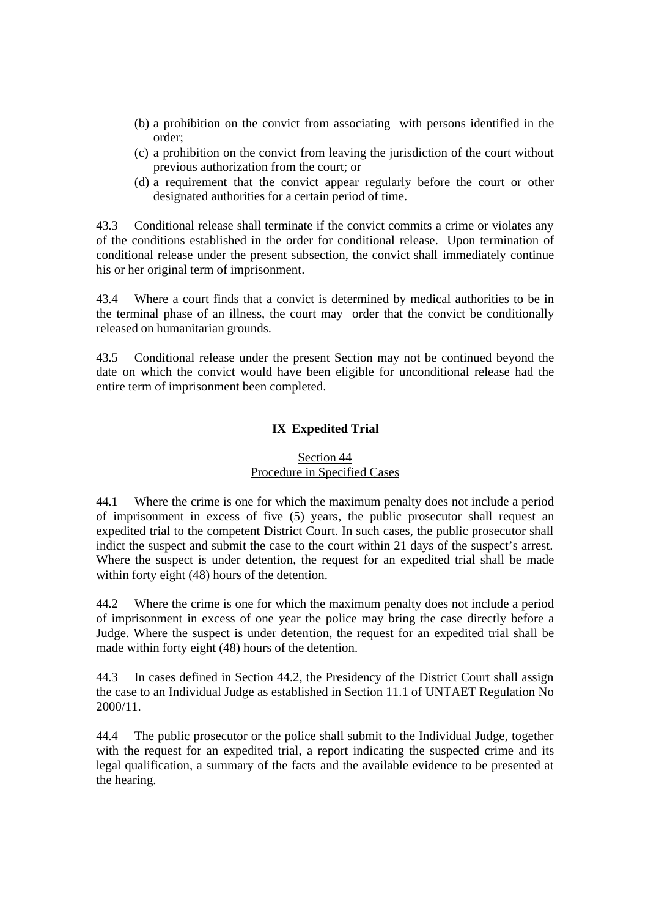- (b) a prohibition on the convict from associating with persons identified in the order;
- (c) a prohibition on the convict from leaving the jurisdiction of the court without previous authorization from the court; or
- (d) a requirement that the convict appear regularly before the court or other designated authorities for a certain period of time.

43.3 Conditional release shall terminate if the convict commits a crime or violates any of the conditions established in the order for conditional release. Upon termination of conditional release under the present subsection, the convict shall immediately continue his or her original term of imprisonment.

43.4 Where a court finds that a convict is determined by medical authorities to be in the terminal phase of an illness, the court may order that the convict be conditionally released on humanitarian grounds.

43.5 Conditional release under the present Section may not be continued beyond the date on which the convict would have been eligible for unconditional release had the entire term of imprisonment been completed.

# **IX Expedited Trial**

### Section 44 Procedure in Specified Cases

44.1 Where the crime is one for which the maximum penalty does not include a period of imprisonment in excess of five (5) years, the public prosecutor shall request an expedited trial to the competent District Court. In such cases, the public prosecutor shall indict the suspect and submit the case to the court within 21 days of the suspect's arrest. Where the suspect is under detention, the request for an expedited trial shall be made within forty eight (48) hours of the detention.

44.2 Where the crime is one for which the maximum penalty does not include a period of imprisonment in excess of one year the police may bring the case directly before a Judge. Where the suspect is under detention, the request for an expedited trial shall be made within forty eight (48) hours of the detention.

44.3 In cases defined in Section 44.2, the Presidency of the District Court shall assign the case to an Individual Judge as established in Section 11.1 of UNTAET Regulation No 2000/11.

44.4 The public prosecutor or the police shall submit to the Individual Judge, together with the request for an expedited trial, a report indicating the suspected crime and its legal qualification, a summary of the facts and the available evidence to be presented at the hearing.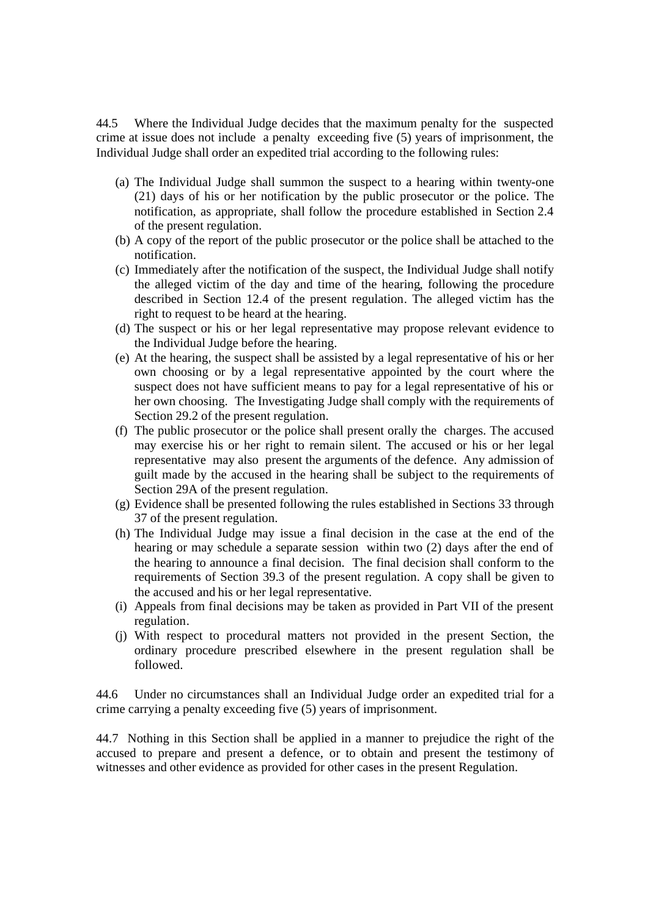44.5 Where the Individual Judge decides that the maximum penalty for the suspected crime at issue does not include a penalty exceeding five (5) years of imprisonment, the Individual Judge shall order an expedited trial according to the following rules:

- (a) The Individual Judge shall summon the suspect to a hearing within twenty-one (21) days of his or her notification by the public prosecutor or the police. The notification, as appropriate, shall follow the procedure established in Section 2.4 of the present regulation.
- (b) A copy of the report of the public prosecutor or the police shall be attached to the notification.
- (c) Immediately after the notification of the suspect, the Individual Judge shall notify the alleged victim of the day and time of the hearing, following the procedure described in Section 12.4 of the present regulation. The alleged victim has the right to request to be heard at the hearing.
- (d) The suspect or his or her legal representative may propose relevant evidence to the Individual Judge before the hearing.
- (e) At the hearing, the suspect shall be assisted by a legal representative of his or her own choosing or by a legal representative appointed by the court where the suspect does not have sufficient means to pay for a legal representative of his or her own choosing. The Investigating Judge shall comply with the requirements of Section 29.2 of the present regulation.
- (f) The public prosecutor or the police shall present orally the charges. The accused may exercise his or her right to remain silent. The accused or his or her legal representative may also present the arguments of the defence. Any admission of guilt made by the accused in the hearing shall be subject to the requirements of Section 29A of the present regulation.
- (g) Evidence shall be presented following the rules established in Sections 33 through 37 of the present regulation.
- (h) The Individual Judge may issue a final decision in the case at the end of the hearing or may schedule a separate session within two (2) days after the end of the hearing to announce a final decision. The final decision shall conform to the requirements of Section 39.3 of the present regulation. A copy shall be given to the accused and his or her legal representative.
- (i) Appeals from final decisions may be taken as provided in Part VII of the present regulation.
- (j) With respect to procedural matters not provided in the present Section, the ordinary procedure prescribed elsewhere in the present regulation shall be followed.

44.6 Under no circumstances shall an Individual Judge order an expedited trial for a crime carrying a penalty exceeding five (5) years of imprisonment.

44.7 Nothing in this Section shall be applied in a manner to prejudice the right of the accused to prepare and present a defence, or to obtain and present the testimony of witnesses and other evidence as provided for other cases in the present Regulation.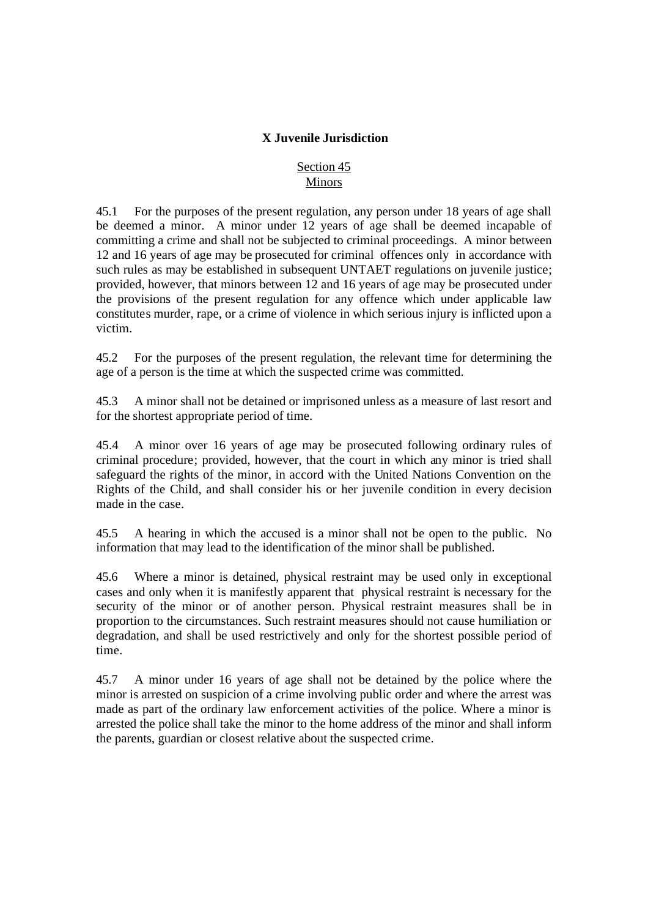### **X Juvenile Jurisdiction**

### Section 45 Minors

45.1 For the purposes of the present regulation, any person under 18 years of age shall be deemed a minor. A minor under 12 years of age shall be deemed incapable of committing a crime and shall not be subjected to criminal proceedings. A minor between 12 and 16 years of age may be prosecuted for criminal offences only in accordance with such rules as may be established in subsequent UNTAET regulations on juvenile justice; provided, however, that minors between 12 and 16 years of age may be prosecuted under the provisions of the present regulation for any offence which under applicable law constitutes murder, rape, or a crime of violence in which serious injury is inflicted upon a victim.

45.2 For the purposes of the present regulation, the relevant time for determining the age of a person is the time at which the suspected crime was committed.

45.3 A minor shall not be detained or imprisoned unless as a measure of last resort and for the shortest appropriate period of time.

45.4 A minor over 16 years of age may be prosecuted following ordinary rules of criminal procedure; provided, however, that the court in which any minor is tried shall safeguard the rights of the minor, in accord with the United Nations Convention on the Rights of the Child, and shall consider his or her juvenile condition in every decision made in the case.

45.5 A hearing in which the accused is a minor shall not be open to the public. No information that may lead to the identification of the minor shall be published.

45.6 Where a minor is detained, physical restraint may be used only in exceptional cases and only when it is manifestly apparent that physical restraint is necessary for the security of the minor or of another person. Physical restraint measures shall be in proportion to the circumstances. Such restraint measures should not cause humiliation or degradation, and shall be used restrictively and only for the shortest possible period of time.

45.7 A minor under 16 years of age shall not be detained by the police where the minor is arrested on suspicion of a crime involving public order and where the arrest was made as part of the ordinary law enforcement activities of the police. Where a minor is arrested the police shall take the minor to the home address of the minor and shall inform the parents, guardian or closest relative about the suspected crime.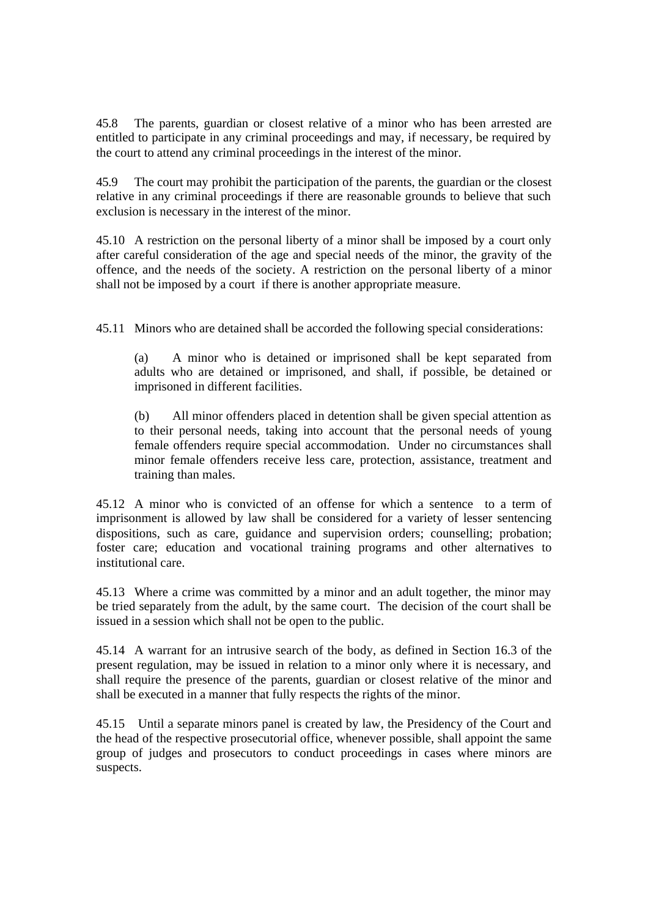45.8 The parents, guardian or closest relative of a minor who has been arrested are entitled to participate in any criminal proceedings and may, if necessary, be required by the court to attend any criminal proceedings in the interest of the minor.

45.9 The court may prohibit the participation of the parents, the guardian or the closest relative in any criminal proceedings if there are reasonable grounds to believe that such exclusion is necessary in the interest of the minor.

45.10 A restriction on the personal liberty of a minor shall be imposed by a court only after careful consideration of the age and special needs of the minor, the gravity of the offence, and the needs of the society. A restriction on the personal liberty of a minor shall not be imposed by a court if there is another appropriate measure.

45.11 Minors who are detained shall be accorded the following special considerations:

(a) A minor who is detained or imprisoned shall be kept separated from adults who are detained or imprisoned, and shall, if possible, be detained or imprisoned in different facilities.

(b) All minor offenders placed in detention shall be given special attention as to their personal needs, taking into account that the personal needs of young female offenders require special accommodation. Under no circumstances shall minor female offenders receive less care, protection, assistance, treatment and training than males.

45.12 A minor who is convicted of an offense for which a sentence to a term of imprisonment is allowed by law shall be considered for a variety of lesser sentencing dispositions, such as care, guidance and supervision orders; counselling; probation; foster care; education and vocational training programs and other alternatives to institutional care.

45.13 Where a crime was committed by a minor and an adult together, the minor may be tried separately from the adult, by the same court. The decision of the court shall be issued in a session which shall not be open to the public.

45.14 A warrant for an intrusive search of the body, as defined in Section 16.3 of the present regulation, may be issued in relation to a minor only where it is necessary, and shall require the presence of the parents, guardian or closest relative of the minor and shall be executed in a manner that fully respects the rights of the minor.

45.15 Until a separate minors panel is created by law, the Presidency of the Court and the head of the respective prosecutorial office, whenever possible, shall appoint the same group of judges and prosecutors to conduct proceedings in cases where minors are suspects.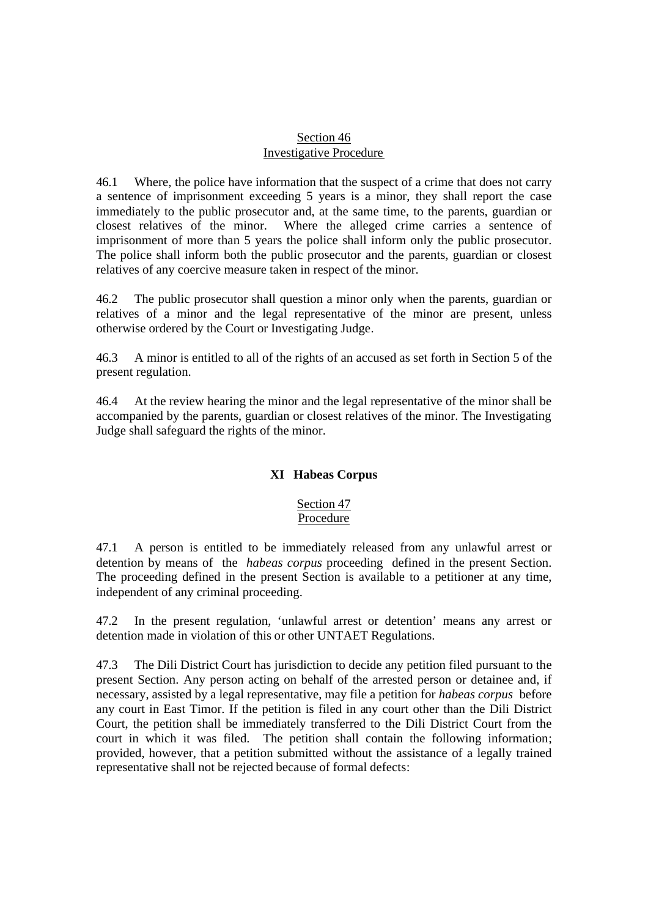#### Section 46 Investigative Procedure

46.1 Where, the police have information that the suspect of a crime that does not carry a sentence of imprisonment exceeding 5 years is a minor, they shall report the case immediately to the public prosecutor and, at the same time, to the parents, guardian or closest relatives of the minor. Where the alleged crime carries a sentence of imprisonment of more than 5 years the police shall inform only the public prosecutor. The police shall inform both the public prosecutor and the parents, guardian or closest relatives of any coercive measure taken in respect of the minor.

46.2 The public prosecutor shall question a minor only when the parents, guardian or relatives of a minor and the legal representative of the minor are present, unless otherwise ordered by the Court or Investigating Judge.

46.3 A minor is entitled to all of the rights of an accused as set forth in Section 5 of the present regulation.

46.4 At the review hearing the minor and the legal representative of the minor shall be accompanied by the parents, guardian or closest relatives of the minor. The Investigating Judge shall safeguard the rights of the minor.

# **XI Habeas Corpus**

## Section 47 Procedure

47.1 A person is entitled to be immediately released from any unlawful arrest or detention by means of the *habeas corpus* proceeding defined in the present Section. The proceeding defined in the present Section is available to a petitioner at any time, independent of any criminal proceeding.

47.2 In the present regulation, 'unlawful arrest or detention' means any arrest or detention made in violation of this or other UNTAET Regulations.

47.3 The Dili District Court has jurisdiction to decide any petition filed pursuant to the present Section. Any person acting on behalf of the arrested person or detainee and, if necessary, assisted by a legal representative, may file a petition for *habeas corpus* before any court in East Timor. If the petition is filed in any court other than the Dili District Court, the petition shall be immediately transferred to the Dili District Court from the court in which it was filed. The petition shall contain the following information; provided, however, that a petition submitted without the assistance of a legally trained representative shall not be rejected because of formal defects: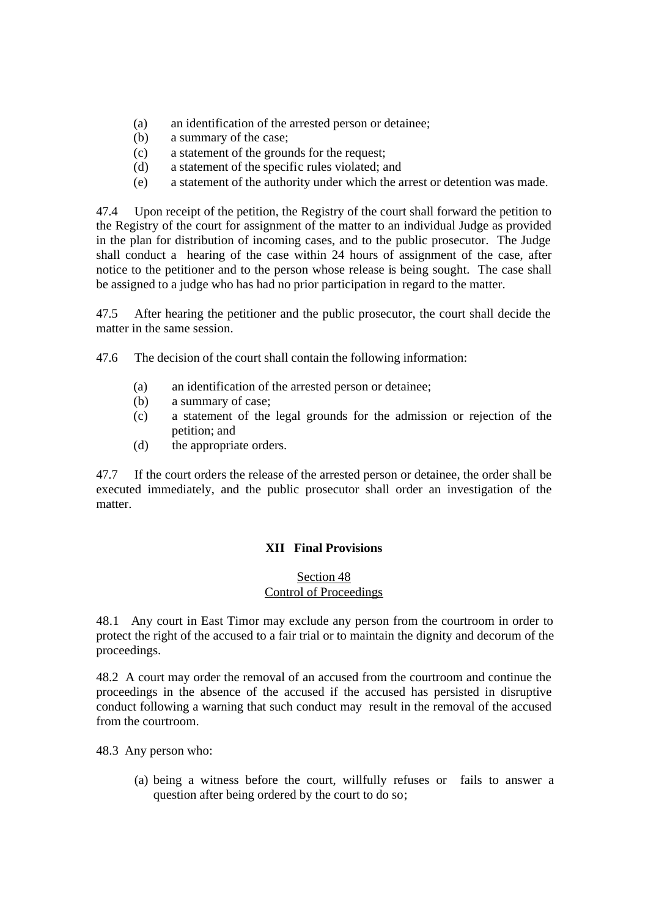- (a) an identification of the arrested person or detainee;
- (b) a summary of the case;
- (c) a statement of the grounds for the request;
- (d) a statement of the specific rules violated; and
- (e) a statement of the authority under which the arrest or detention was made.

47.4 Upon receipt of the petition, the Registry of the court shall forward the petition to the Registry of the court for assignment of the matter to an individual Judge as provided in the plan for distribution of incoming cases, and to the public prosecutor. The Judge shall conduct a hearing of the case within 24 hours of assignment of the case, after notice to the petitioner and to the person whose release is being sought. The case shall be assigned to a judge who has had no prior participation in regard to the matter.

47.5 After hearing the petitioner and the public prosecutor, the court shall decide the matter in the same session.

- 47.6 The decision of the court shall contain the following information:
	- (a) an identification of the arrested person or detainee;
	- (b) a summary of case;
	- (c) a statement of the legal grounds for the admission or rejection of the petition; and
	- (d) the appropriate orders.

47.7 If the court orders the release of the arrested person or detainee, the order shall be executed immediately, and the public prosecutor shall order an investigation of the matter.

### **XII Final Provisions**

#### Section 48 Control of Proceedings

48.1 Any court in East Timor may exclude any person from the courtroom in order to protect the right of the accused to a fair trial or to maintain the dignity and decorum of the proceedings.

48.2 A court may order the removal of an accused from the courtroom and continue the proceedings in the absence of the accused if the accused has persisted in disruptive conduct following a warning that such conduct may result in the removal of the accused from the courtroom.

48.3 Any person who:

(a) being a witness before the court, willfully refuses or fails to answer a question after being ordered by the court to do so;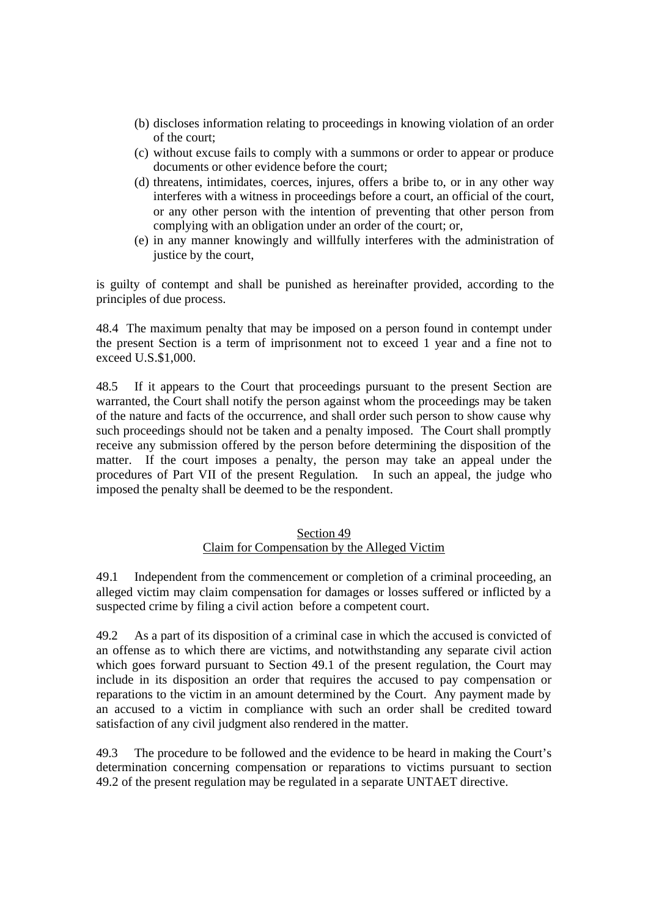- (b) discloses information relating to proceedings in knowing violation of an order of the court;
- (c) without excuse fails to comply with a summons or order to appear or produce documents or other evidence before the court;
- (d) threatens, intimidates, coerces, injures, offers a bribe to, or in any other way interferes with a witness in proceedings before a court, an official of the court, or any other person with the intention of preventing that other person from complying with an obligation under an order of the court; or,
- (e) in any manner knowingly and willfully interferes with the administration of justice by the court,

is guilty of contempt and shall be punished as hereinafter provided, according to the principles of due process.

48.4 The maximum penalty that may be imposed on a person found in contempt under the present Section is a term of imprisonment not to exceed 1 year and a fine not to exceed U.S.\$1,000.

48.5 If it appears to the Court that proceedings pursuant to the present Section are warranted, the Court shall notify the person against whom the proceedings may be taken of the nature and facts of the occurrence, and shall order such person to show cause why such proceedings should not be taken and a penalty imposed. The Court shall promptly receive any submission offered by the person before determining the disposition of the matter. If the court imposes a penalty, the person may take an appeal under the procedures of Part VII of the present Regulation. In such an appeal, the judge who imposed the penalty shall be deemed to be the respondent.

### Section 49 Claim for Compensation by the Alleged Victim

49.1 Independent from the commencement or completion of a criminal proceeding, an alleged victim may claim compensation for damages or losses suffered or inflicted by a suspected crime by filing a civil action before a competent court.

49.2 As a part of its disposition of a criminal case in which the accused is convicted of an offense as to which there are victims, and notwithstanding any separate civil action which goes forward pursuant to Section 49.1 of the present regulation, the Court may include in its disposition an order that requires the accused to pay compensation or reparations to the victim in an amount determined by the Court. Any payment made by an accused to a victim in compliance with such an order shall be credited toward satisfaction of any civil judgment also rendered in the matter.

49.3 The procedure to be followed and the evidence to be heard in making the Court's determination concerning compensation or reparations to victims pursuant to section 49.2 of the present regulation may be regulated in a separate UNTAET directive.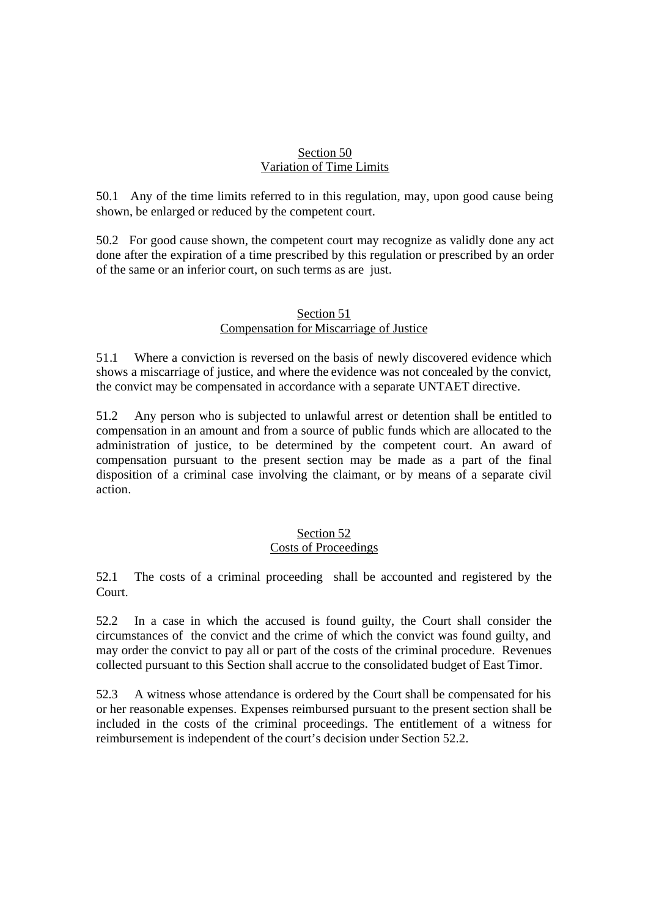#### Section 50 Variation of Time Limits

50.1 Any of the time limits referred to in this regulation, may, upon good cause being shown, be enlarged or reduced by the competent court.

50.2 For good cause shown, the competent court may recognize as validly done any act done after the expiration of a time prescribed by this regulation or prescribed by an order of the same or an inferior court, on such terms as are just.

#### Section 51 Compensation for Miscarriage of Justice

51.1 Where a conviction is reversed on the basis of newly discovered evidence which shows a miscarriage of justice, and where the evidence was not concealed by the convict, the convict may be compensated in accordance with a separate UNTAET directive.

51.2 Any person who is subjected to unlawful arrest or detention shall be entitled to compensation in an amount and from a source of public funds which are allocated to the administration of justice, to be determined by the competent court. An award of compensation pursuant to the present section may be made as a part of the final disposition of a criminal case involving the claimant, or by means of a separate civil action.

#### Section 52 Costs of Proceedings

52.1 The costs of a criminal proceeding shall be accounted and registered by the Court.

52.2 In a case in which the accused is found guilty, the Court shall consider the circumstances of the convict and the crime of which the convict was found guilty, and may order the convict to pay all or part of the costs of the criminal procedure. Revenues collected pursuant to this Section shall accrue to the consolidated budget of East Timor.

52.3 A witness whose attendance is ordered by the Court shall be compensated for his or her reasonable expenses. Expenses reimbursed pursuant to the present section shall be included in the costs of the criminal proceedings. The entitlement of a witness for reimbursement is independent of the court's decision under Section 52.2.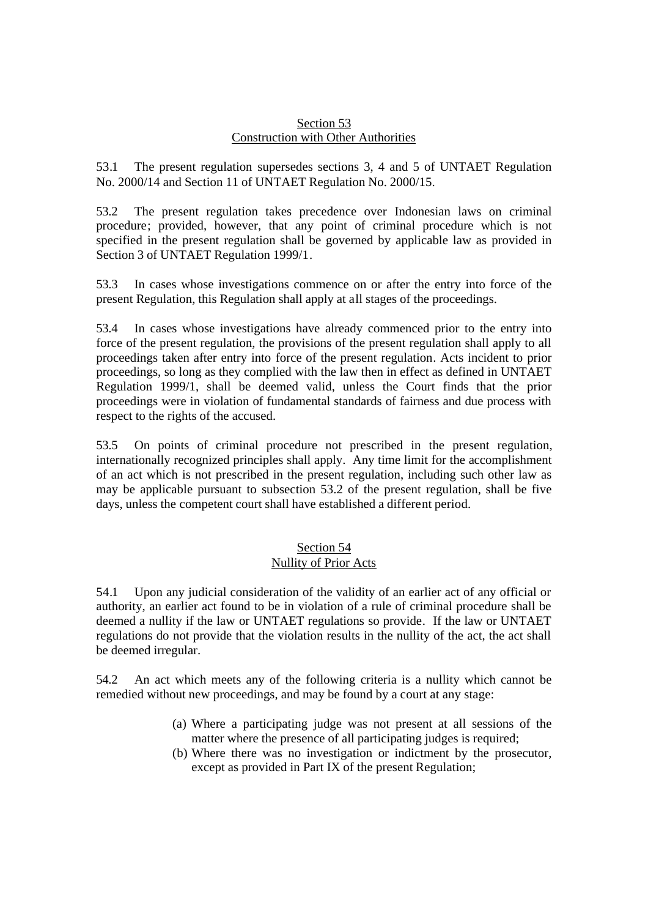#### Section 53 Construction with Other Authorities

53.1 The present regulation supersedes sections 3, 4 and 5 of UNTAET Regulation No. 2000/14 and Section 11 of UNTAET Regulation No. 2000/15.

53.2 The present regulation takes precedence over Indonesian laws on criminal procedure; provided, however, that any point of criminal procedure which is not specified in the present regulation shall be governed by applicable law as provided in Section 3 of UNTAET Regulation 1999/1.

53.3 In cases whose investigations commence on or after the entry into force of the present Regulation, this Regulation shall apply at all stages of the proceedings.

53.4 In cases whose investigations have already commenced prior to the entry into force of the present regulation, the provisions of the present regulation shall apply to all proceedings taken after entry into force of the present regulation. Acts incident to prior proceedings, so long as they complied with the law then in effect as defined in UNTAET Regulation 1999/1, shall be deemed valid, unless the Court finds that the prior proceedings were in violation of fundamental standards of fairness and due process with respect to the rights of the accused.

53.5 On points of criminal procedure not prescribed in the present regulation, internationally recognized principles shall apply. Any time limit for the accomplishment of an act which is not prescribed in the present regulation, including such other law as may be applicable pursuant to subsection 53.2 of the present regulation, shall be five days, unless the competent court shall have established a different period.

# Section 54

Nullity of Prior Acts

54.1 Upon any judicial consideration of the validity of an earlier act of any official or authority, an earlier act found to be in violation of a rule of criminal procedure shall be deemed a nullity if the law or UNTAET regulations so provide. If the law or UNTAET regulations do not provide that the violation results in the nullity of the act, the act shall be deemed irregular.

54.2 An act which meets any of the following criteria is a nullity which cannot be remedied without new proceedings, and may be found by a court at any stage:

- (a) Where a participating judge was not present at all sessions of the matter where the presence of all participating judges is required;
- (b) Where there was no investigation or indictment by the prosecutor, except as provided in Part IX of the present Regulation;